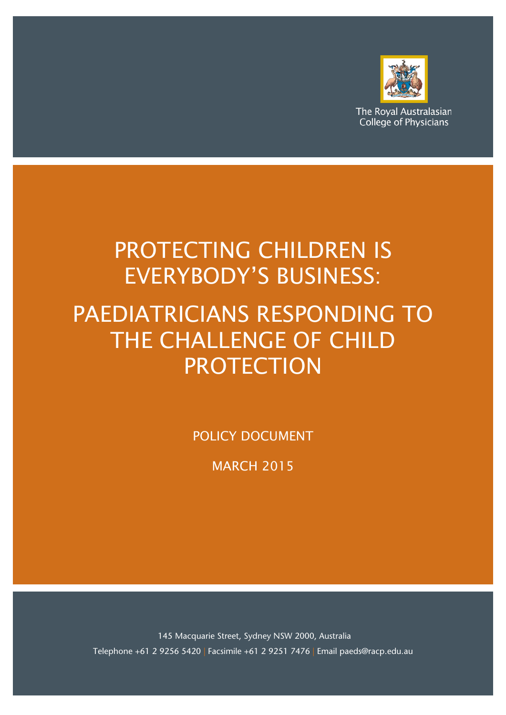

The Royal Australasian **College of Physicians** 

# PROTECTING CHILDREN IS EVERYBODY'S BUSINESS:

# PAEDIATRICIANS RESPONDING TO THE CHALLENGE OF CHILD **PROTECTION**

POLICY DOCUMENT

MARCH 2015

145 Macquarie Street, Sydney NSW 2000, Australia Telephone +61 2 9256 5420 | Facsimile +61 2 9251 7476 | Email paeds@racp.edu.au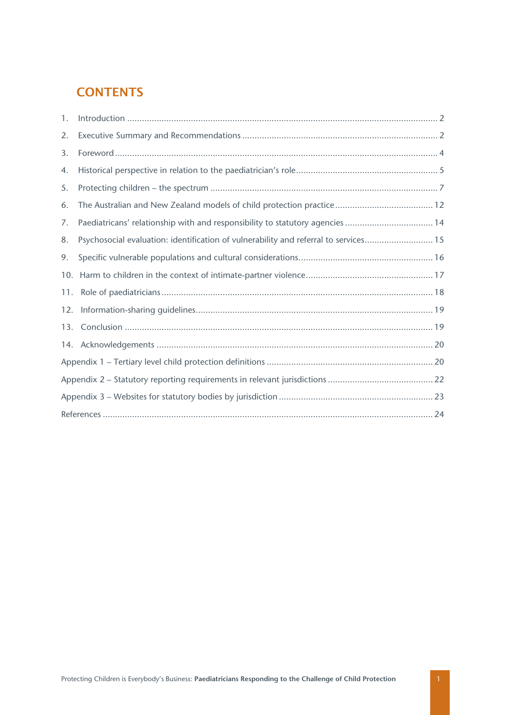# **CONTENTS**

| 1.  |                                                                                      |  |  |
|-----|--------------------------------------------------------------------------------------|--|--|
| 2.  |                                                                                      |  |  |
| 3.  |                                                                                      |  |  |
| 4.  |                                                                                      |  |  |
| 5.  |                                                                                      |  |  |
| 6.  |                                                                                      |  |  |
| 7.  | Paediatricans' relationship with and responsibility to statutory agencies  14        |  |  |
| 8.  | Psychosocial evaluation: identification of vulnerability and referral to services 15 |  |  |
| 9.  |                                                                                      |  |  |
| 10. |                                                                                      |  |  |
|     |                                                                                      |  |  |
|     |                                                                                      |  |  |
|     |                                                                                      |  |  |
|     |                                                                                      |  |  |
|     |                                                                                      |  |  |
|     |                                                                                      |  |  |
|     |                                                                                      |  |  |
|     |                                                                                      |  |  |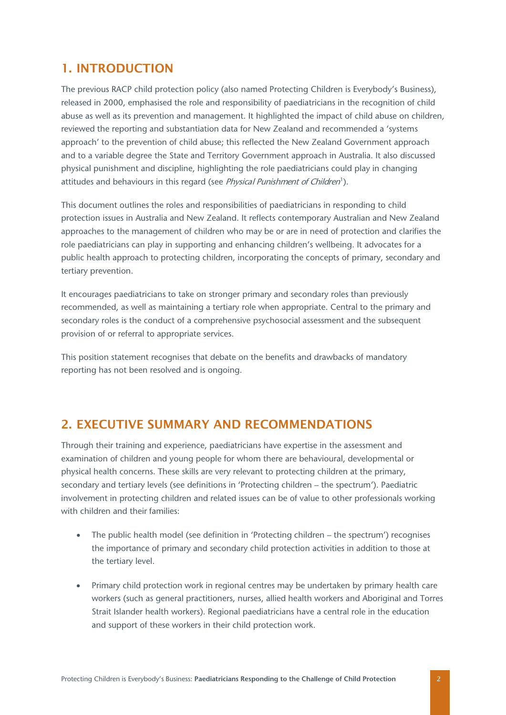### <span id="page-2-0"></span>1. INTRODUCTION

The previous RACP child protection policy (also named Protecting Children is Everybody's Business), released in 2000, emphasised the role and responsibility of paediatricians in the recognition of child abuse as well as its prevention and management. It highlighted the impact of child abuse on children, reviewed the reporting and substantiation data for New Zealand and recommended a 'systems approach' to the prevention of child abuse; this reflected the New Zealand Government approach and to a variable degree the State and Territory Government approach in Australia. It also discussed physical punishment and discipline, highlighting the role paediatricians could play in changing attitudes and behaviours in this regard (see Physical Punishment of Children<sup>[1](#page-24-1)</sup>).

This document outlines the roles and responsibilities of paediatricians in responding to child protection issues in Australia and New Zealand. It reflects contemporary Australian and New Zealand approaches to the management of children who may be or are in need of protection and clarifies the role paediatricians can play in supporting and enhancing children's wellbeing. It advocates for a public health approach to protecting children, incorporating the concepts of primary, secondary and tertiary prevention.

It encourages paediatricians to take on stronger primary and secondary roles than previously recommended, as well as maintaining a tertiary role when appropriate. Central to the primary and secondary roles is the conduct of a comprehensive psychosocial assessment and the subsequent provision of or referral to appropriate services.

This position statement recognises that debate on the benefits and drawbacks of mandatory reporting has not been resolved and is ongoing.

#### <span id="page-2-1"></span>2. EXECUTIVE SUMMARY AND RECOMMENDATIONS

Through their training and experience, paediatricians have expertise in the assessment and examination of children and young people for whom there are behavioural, developmental or physical health concerns. These skills are very relevant to protecting children at the primary, secondary and tertiary levels (see definitions in 'Protecting children – the spectrum'). Paediatric involvement in protecting children and related issues can be of value to other professionals working with children and their families:

- The public health model (see definition in 'Protecting children the spectrum') recognises the importance of primary and secondary child protection activities in addition to those at the tertiary level.
- Primary child protection work in regional centres may be undertaken by primary health care workers (such as general practitioners, nurses, allied health workers and Aboriginal and Torres Strait Islander health workers). Regional paediatricians have a central role in the education and support of these workers in their child protection work.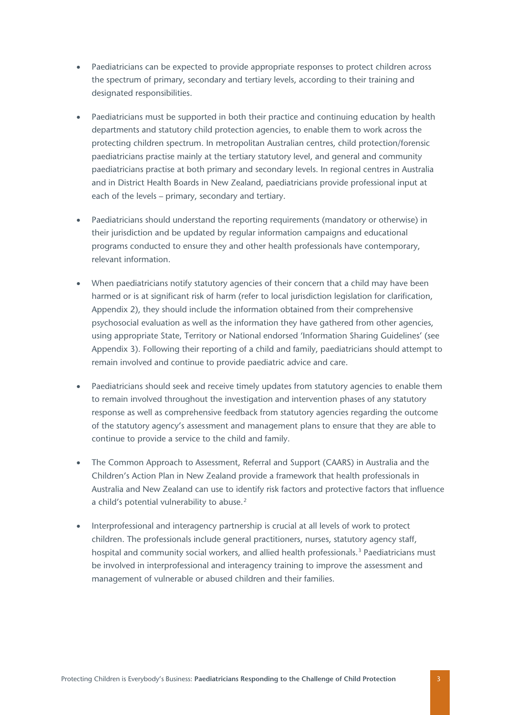- Paediatricians can be expected to provide appropriate responses to protect children across the spectrum of primary, secondary and tertiary levels, according to their training and designated responsibilities.
- Paediatricians must be supported in both their practice and continuing education by health departments and statutory child protection agencies, to enable them to work across the protecting children spectrum. In metropolitan Australian centres, child protection/forensic paediatricians practise mainly at the tertiary statutory level, and general and community paediatricians practise at both primary and secondary levels. In regional centres in Australia and in District Health Boards in New Zealand, paediatricians provide professional input at each of the levels – primary, secondary and tertiary.
- Paediatricians should understand the reporting requirements (mandatory or otherwise) in their jurisdiction and be updated by regular information campaigns and educational programs conducted to ensure they and other health professionals have contemporary, relevant information.
- When paediatricians notify statutory agencies of their concern that a child may have been harmed or is at significant risk of harm (refer to local jurisdiction legislation for clarification, Appendix 2), they should include the information obtained from their comprehensive psychosocial evaluation as well as the information they have gathered from other agencies, using appropriate State, Territory or National endorsed 'Information Sharing Guidelines' (see Appendix 3). Following their reporting of a child and family, paediatricians should attempt to remain involved and continue to provide paediatric advice and care.
- Paediatricians should seek and receive timely updates from statutory agencies to enable them to remain involved throughout the investigation and intervention phases of any statutory response as well as comprehensive feedback from statutory agencies regarding the outcome of the statutory agency's assessment and management plans to ensure that they are able to continue to provide a service to the child and family.
- The Common Approach to Assessment, Referral and Support (CAARS) in Australia and the Children's Action Plan in New Zealand provide a framework that health professionals in Australia and New Zealand can use to identify risk factors and protective factors that influence a child's potential vulnerability to abuse.<sup>[2](#page-24-2)</sup>
- Interprofessional and interagency partnership is crucial at all levels of work to protect children. The professionals include general practitioners, nurses, statutory agency staff, hospital and community social workers, and allied health professionals.<sup>[3](#page-24-3)</sup> Paediatricians must be involved in interprofessional and interagency training to improve the assessment and management of vulnerable or abused children and their families.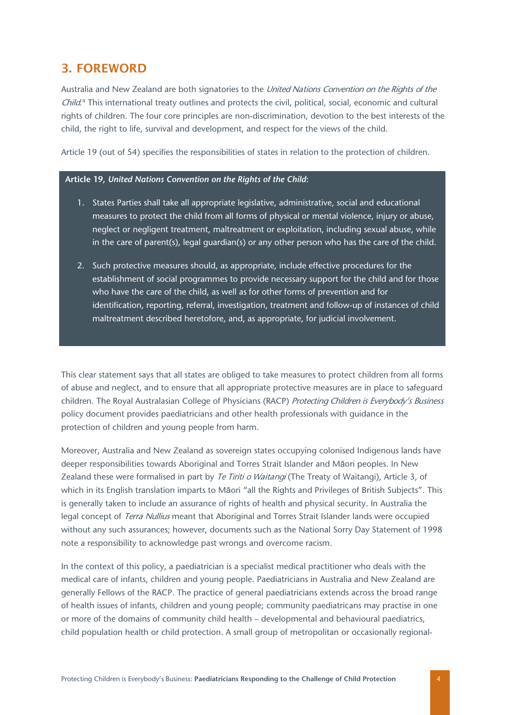### <span id="page-4-0"></span>3. FOREWORD

Australia and New Zealand are both signatories to the United Nations Convention on the Rights of the Child.<sup>[4](#page-25-0)</sup> This international treaty outlines and protects the civil, political, social, economic and cultural rights of children. The four core principles are non-discrimination, devotion to the best interests of the child, the right to life, survival and development, and respect for the views of the child.

Article 19 (out of 54) specifies the responsibilities of states in relation to the protection of children.

#### **Article 19,** *United Nations Convention on the Rights of the Child***:**

- 1. States Parties shall take all appropriate legislative, administrative, social and educational measures to protect the child from all forms of physical or mental violence, injury or abuse, neglect or negligent treatment, maltreatment or exploitation, including sexual abuse, while in the care of parent(s), legal guardian(s) or any other person who has the care of the child.
- 2. Such protective measures should, as appropriate, include effective procedures for the establishment of social programmes to provide necessary support for the child and for those who have the care of the child, as well as for other forms of prevention and for identification, reporting, referral, investigation, treatment and follow-up of instances of child maltreatment described heretofore, and, as appropriate, for judicial involvement.

This clear statement says that all states are obliged to take measures to protect children from all forms of abuse and neglect, and to ensure that all appropriate protective measures are in place to safeguard children. The Royal Australasian College of Physicians (RACP) Protecting Children is Everybody's Business policy document provides paediatricians and other health professionals with guidance in the protection of children and young people from harm.

Moreover, Australia and New Zealand as sovereign states occupying colonised Indigenous lands have deeper responsibilities towards Aboriginal and Torres Strait Islander and Māori peoples. In New Zealand these were formalised in part by Te Tiriti o Waitangi (The Treaty of Waitangi), Article 3, of which in its English translation imparts to Māori "all the Rights and Privileges of British Subjects". This is generally taken to include an assurance of rights of health and physical security. In Australia the legal concept of Terra Nullius meant that Aboriginal and Torres Strait Islander lands were occupied without any such assurances; however, documents such as the National Sorry Day Statement of 1998 note a responsibility to acknowledge past wrongs and overcome racism.

In the context of this policy, a paediatrician is a specialist medical practitioner who deals with the medical care of infants, children and young people. Paediatricians in Australia and New Zealand are generally Fellows of the RACP. The practice of general paediatricians extends across the broad range of health issues of infants, children and young people; community paediatricans may practise in one or more of the domains of community child health – developmental and behavioural paediatrics, child population health or child protection. A small group of metropolitan or occasionally regional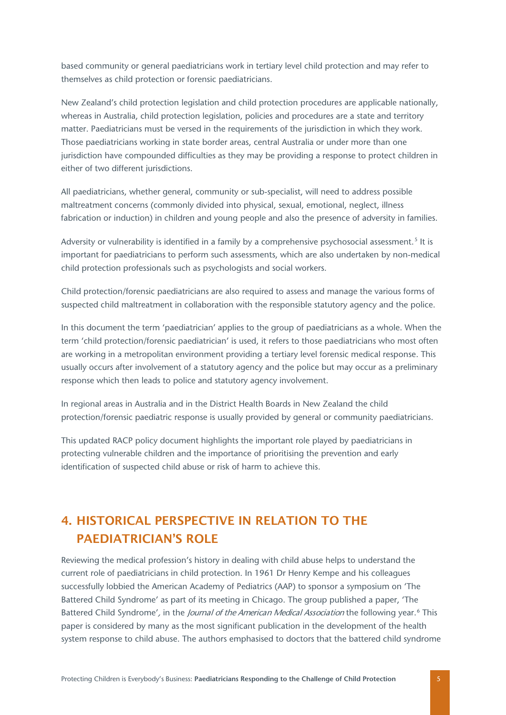based community or general paediatricians work in tertiary level child protection and may refer to themselves as child protection or forensic paediatricians.

New Zealand's child protection legislation and child protection procedures are applicable nationally, whereas in Australia, child protection legislation, policies and procedures are a state and territory matter. Paediatricians must be versed in the requirements of the jurisdiction in which they work. Those paediatricians working in state border areas, central Australia or under more than one jurisdiction have compounded difficulties as they may be providing a response to protect children in either of two different jurisdictions.

All paediatricians, whether general, community or sub-specialist, will need to address possible maltreatment concerns (commonly divided into physical, sexual, emotional, neglect, illness fabrication or induction) in children and young people and also the presence of adversity in families.

Adversity or vulnerability is identified in a family by a comprehensive psychosocial assessment.<sup>[5](#page-25-1)</sup> It is important for paediatricians to perform such assessments, which are also undertaken by non-medical child protection professionals such as psychologists and social workers.

Child protection/forensic paediatricians are also required to assess and manage the various forms of suspected child maltreatment in collaboration with the responsible statutory agency and the police.

In this document the term 'paediatrician' applies to the group of paediatricians as a whole. When the term 'child protection/forensic paediatrician' is used, it refers to those paediatricians who most often are working in a metropolitan environment providing a tertiary level forensic medical response. This usually occurs after involvement of a statutory agency and the police but may occur as a preliminary response which then leads to police and statutory agency involvement.

In regional areas in Australia and in the District Health Boards in New Zealand the child protection/forensic paediatric response is usually provided by general or community paediatricians.

This updated RACP policy document highlights the important role played by paediatricians in protecting vulnerable children and the importance of prioritising the prevention and early identification of suspected child abuse or risk of harm to achieve this.

# <span id="page-5-0"></span>4. HISTORICAL PERSPECTIVE IN RELATION TO THE PAEDIATRICIAN'S ROLE

Reviewing the medical profession's history in dealing with child abuse helps to understand the current role of paediatricians in child protection. In 1961 Dr Henry Kempe and his colleagues successfully lobbied the American Academy of Pediatrics (AAP) to sponsor a symposium on 'The Battered Child Syndrome' as part of its meeting in Chicago. The group published a paper, 'The Battered Child Syndrome', in the *Journal of the American Medical Association* the following year.<sup>[6](#page-25-2)</sup> This paper is considered by many as the most significant publication in the development of the health system response to child abuse. The authors emphasised to doctors that the battered child syndrome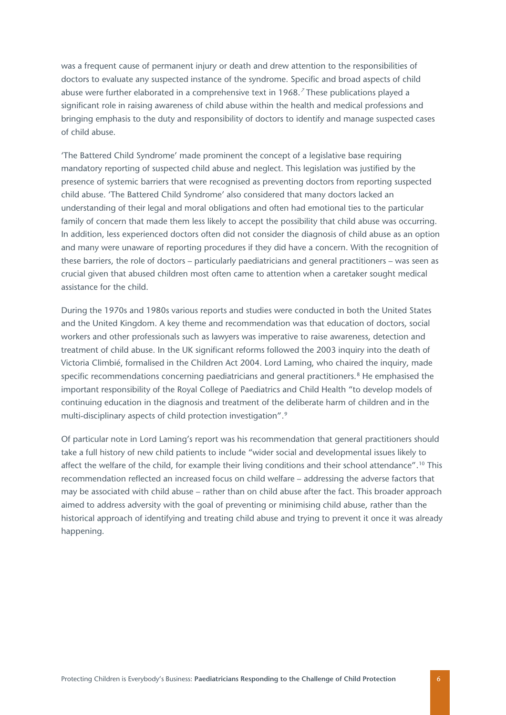was a frequent cause of permanent injury or death and drew attention to the responsibilities of doctors to evaluate any suspected instance of the syndrome. Specific and broad aspects of child abuse were further elaborated in a comprehensive text in 1968. [7](#page-26-0) These publications played a significant role in raising awareness of child abuse within the health and medical professions and bringing emphasis to the duty and responsibility of doctors to identify and manage suspected cases of child abuse.

'The Battered Child Syndrome' made prominent the concept of a legislative base requiring mandatory reporting of suspected child abuse and neglect. This legislation was justified by the presence of systemic barriers that were recognised as preventing doctors from reporting suspected child abuse. 'The Battered Child Syndrome' also considered that many doctors lacked an understanding of their legal and moral obligations and often had emotional ties to the particular family of concern that made them less likely to accept the possibility that child abuse was occurring. In addition, less experienced doctors often did not consider the diagnosis of child abuse as an option and many were unaware of reporting procedures if they did have a concern. With the recognition of these barriers, the role of doctors – particularly paediatricians and general practitioners – was seen as crucial given that abused children most often came to attention when a caretaker sought medical assistance for the child.

During the 1970s and 1980s various reports and studies were conducted in both the United States and the United Kingdom. A key theme and recommendation was that education of doctors, social workers and other professionals such as lawyers was imperative to raise awareness, detection and treatment of child abuse. In the UK significant reforms followed the 2003 inquiry into the death of Victoria Climbié, formalised in the Children Act 2004. Lord Laming, who chaired the inquiry, made specific recommendations concerning paediatricians and general practitioners.<sup>[8](#page-26-1)</sup> He emphasised the important responsibility of the Royal College of Paediatrics and Child Health "to develop models of continuing education in the diagnosis and treatment of the deliberate harm of children and in the multi-disciplinary aspects of child protection investigation".<sup>[9](#page-26-2)</sup>

Of particular note in Lord Laming's report was his recommendation that general practitioners should take a full history of new child patients to include "wider social and developmental issues likely to affect the welfare of the child, for example their living conditions and their school attendance".<sup>[10](#page-26-3)</sup> This recommendation reflected an increased focus on child welfare – addressing the adverse factors that may be associated with child abuse – rather than on child abuse after the fact. This broader approach aimed to address adversity with the goal of preventing or minimising child abuse, rather than the historical approach of identifying and treating child abuse and trying to prevent it once it was already happening.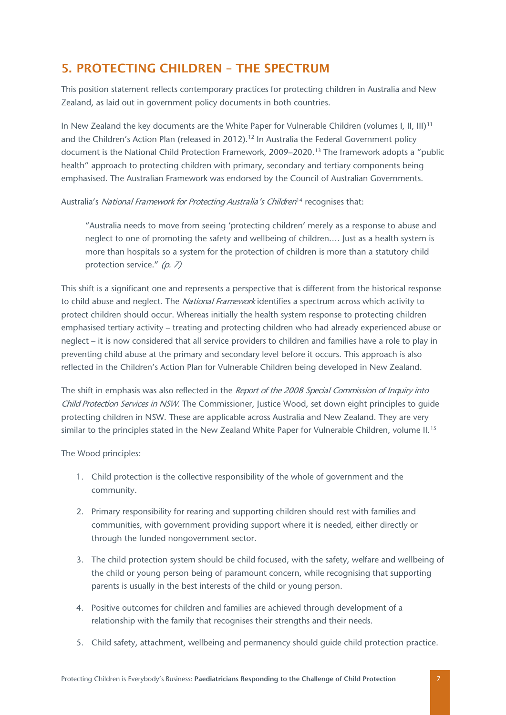### <span id="page-7-0"></span>5. PROTECTING CHILDREN – THE SPECTRUM

This position statement reflects contemporary practices for protecting children in Australia and New Zealand, as laid out in government policy documents in both countries.

In New Zealand the key documents are the White Paper for Vulnerable Children (volumes I, II, III)<sup>[11](#page-27-0)</sup> and the Children's Action Plan (released in 20[12](#page-27-1)).<sup>12</sup> In Australia the Federal Government policy document is the National Child Protection Framework, 2009–2020.[13](#page-27-2) The framework adopts a "public health" approach to protecting children with primary, secondary and tertiary components being emphasised. The Australian Framework was endorsed by the Council of Australian Governments.

#### Australia's National Framework for Protecting Australia's Children<sup>[14](#page-27-3)</sup> recognises that:

"Australia needs to move from seeing 'protecting children' merely as a response to abuse and neglect to one of promoting the safety and wellbeing of children.… Just as a health system is more than hospitals so a system for the protection of children is more than a statutory child protection service." (p. 7)

This shift is a significant one and represents a perspective that is different from the historical response to child abuse and neglect. The National Framework identifies a spectrum across which activity to protect children should occur. Whereas initially the health system response to protecting children emphasised tertiary activity – treating and protecting children who had already experienced abuse or neglect – it is now considered that all service providers to children and families have a role to play in preventing child abuse at the primary and secondary level before it occurs. This approach is also reflected in the Children's Action Plan for Vulnerable Children being developed in New Zealand.

The shift in emphasis was also reflected in the Report of the 2008 Special Commission of Inquiry into Child Protection Services in NSW. The Commissioner, Justice Wood, set down eight principles to quide protecting children in NSW. These are applicable across Australia and New Zealand. They are very similar to the principles stated in the New Zealand White Paper for Vulnerable Children, volume II.<sup>[15](#page-27-4)</sup>

The Wood principles:

- 1. Child protection is the collective responsibility of the whole of government and the community.
- 2. Primary responsibility for rearing and supporting children should rest with families and communities, with government providing support where it is needed, either directly or through the funded nongovernment sector.
- 3. The child protection system should be child focused, with the safety, welfare and wellbeing of the child or young person being of paramount concern, while recognising that supporting parents is usually in the best interests of the child or young person.
- 4. Positive outcomes for children and families are achieved through development of a relationship with the family that recognises their strengths and their needs.
- 5. Child safety, attachment, wellbeing and permanency should guide child protection practice.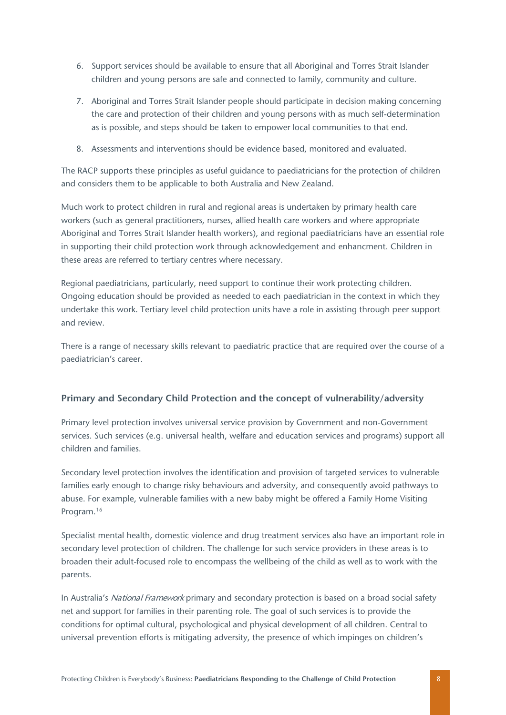- 6. Support services should be available to ensure that all Aboriginal and Torres Strait Islander children and young persons are safe and connected to family, community and culture.
- 7. Aboriginal and Torres Strait Islander people should participate in decision making concerning the care and protection of their children and young persons with as much self-determination as is possible, and steps should be taken to empower local communities to that end.
- 8. Assessments and interventions should be evidence based, monitored and evaluated.

The RACP supports these principles as useful guidance to paediatricians for the protection of children and considers them to be applicable to both Australia and New Zealand.

Much work to protect children in rural and regional areas is undertaken by primary health care workers (such as general practitioners, nurses, allied health care workers and where appropriate Aboriginal and Torres Strait Islander health workers), and regional paediatricians have an essential role in supporting their child protection work through acknowledgement and enhancment. Children in these areas are referred to tertiary centres where necessary.

Regional paediatricians, particularly, need support to continue their work protecting children. Ongoing education should be provided as needed to each paediatrician in the context in which they undertake this work. Tertiary level child protection units have a role in assisting through peer support and review.

There is a range of necessary skills relevant to paediatric practice that are required over the course of a paediatrician's career.

#### **Primary and Secondary Child Protection and the concept of vulnerability/adversity**

Primary level protection involves universal service provision by Government and non-Government services. Such services (e.g. universal health, welfare and education services and programs) support all children and families.

Secondary level protection involves the identification and provision of targeted services to vulnerable families early enough to change risky behaviours and adversity, and consequently avoid pathways to abuse. For example, vulnerable families with a new baby might be offered a Family Home Visiting Program.[16](#page-27-5)

Specialist mental health, domestic violence and drug treatment services also have an important role in secondary level protection of children. The challenge for such service providers in these areas is to broaden their adult-focused role to encompass the wellbeing of the child as well as to work with the parents.

In Australia's National Framework primary and secondary protection is based on a broad social safety net and support for families in their parenting role. The goal of such services is to provide the conditions for optimal cultural, psychological and physical development of all children. Central to universal prevention efforts is mitigating adversity, the presence of which impinges on children's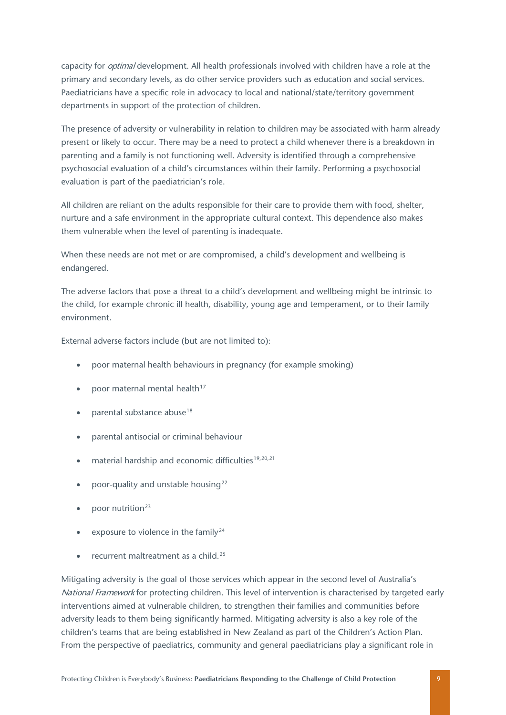capacity for *optimal* development. All health professionals involved with children have a role at the primary and secondary levels, as do other service providers such as education and social services. Paediatricians have a specific role in advocacy to local and national/state/territory government departments in support of the protection of children.

The presence of adversity or vulnerability in relation to children may be associated with harm already present or likely to occur. There may be a need to protect a child whenever there is a breakdown in parenting and a family is not functioning well. Adversity is identified through a comprehensive psychosocial evaluation of a child's circumstances within their family. Performing a psychosocial evaluation is part of the paediatrician's role.

All children are reliant on the adults responsible for their care to provide them with food, shelter, nurture and a safe environment in the appropriate cultural context. This dependence also makes them vulnerable when the level of parenting is inadequate.

When these needs are not met or are compromised, a child's development and wellbeing is endangered.

The adverse factors that pose a threat to a child's development and wellbeing might be intrinsic to the child, for example chronic ill health, disability, young age and temperament, or to their family environment.

External adverse factors include (but are not limited to):

- poor maternal health behaviours in pregnancy (for example smoking)
- noor maternal mental health<sup>[17](#page-28-0)</sup>
- parental substance abuse<sup>[18](#page-28-1)</sup>
- parental antisocial or criminal behaviour
- material hardship and economic difficulties<sup>[19,](#page-28-2)[20,](#page-28-3)[21](#page-28-4)</sup>
- poor-quality and unstable housing<sup>[22](#page-28-5)</sup>
- poor nutrition<sup>[23](#page-28-6)</sup>
- exposure to violence in the family<sup>[24](#page-28-7)</sup>
- recurrent maltreatment as a child.<sup>[25](#page-28-8)</sup>

Mitigating adversity is the goal of those services which appear in the second level of Australia's National Framework for protecting children. This level of intervention is characterised by targeted early interventions aimed at vulnerable children, to strengthen their families and communities before adversity leads to them being significantly harmed. Mitigating adversity is also a key role of the children's teams that are being established in New Zealand as part of the Children's Action Plan. From the perspective of paediatrics, community and general paediatricians play a significant role in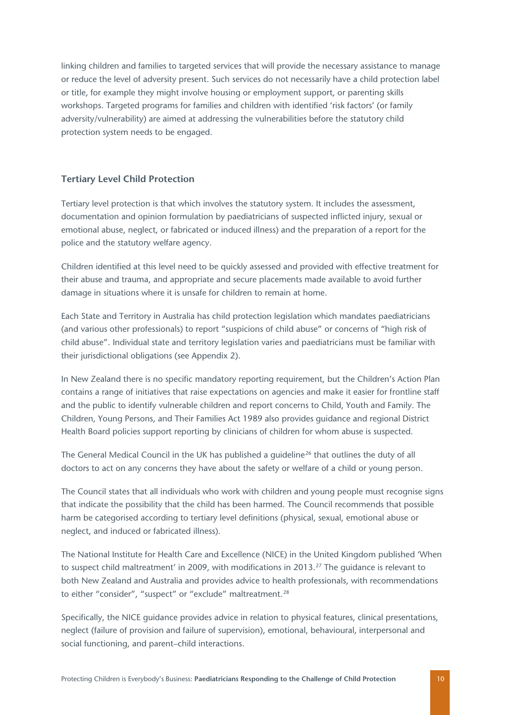linking children and families to targeted services that will provide the necessary assistance to manage or reduce the level of adversity present. Such services do not necessarily have a child protection label or title, for example they might involve housing or employment support, or parenting skills workshops. Targeted programs for families and children with identified 'risk factors' (or family adversity/vulnerability) are aimed at addressing the vulnerabilities before the statutory child protection system needs to be engaged.

#### **Tertiary Level Child Protection**

Tertiary level protection is that which involves the statutory system. It includes the assessment, documentation and opinion formulation by paediatricians of suspected inflicted injury, sexual or emotional abuse, neglect, or fabricated or induced illness) and the preparation of a report for the police and the statutory welfare agency.

Children identified at this level need to be quickly assessed and provided with effective treatment for their abuse and trauma, and appropriate and secure placements made available to avoid further damage in situations where it is unsafe for children to remain at home.

Each State and Territory in Australia has child protection legislation which mandates paediatricians (and various other professionals) to report "suspicions of child abuse" or concerns of "high risk of child abuse". Individual state and territory legislation varies and paediatricians must be familiar with their jurisdictional obligations (see Appendix 2).

In New Zealand there is no specific mandatory reporting requirement, but the Children's Action Plan contains a range of initiatives that raise expectations on agencies and make it easier for frontline staff and the public to identify vulnerable children and report concerns to Child, Youth and Family. The Children, Young Persons, and Their Families Act 1989 also provides guidance and regional District Health Board policies support reporting by clinicians of children for whom abuse is suspected.

The General Medical Council in the UK has published a quideline<sup>[26](#page-29-0)</sup> that outlines the duty of all doctors to act on any concerns they have about the safety or welfare of a child or young person.

The Council states that all individuals who work with children and young people must recognise signs that indicate the possibility that the child has been harmed. The Council recommends that possible harm be categorised according to tertiary level definitions (physical, sexual, emotional abuse or neglect, and induced or fabricated illness).

The National Institute for Health Care and Excellence (NICE) in the United Kingdom published 'When to suspect child maltreatment' in 2009, with modifications in 2013.<sup>[27](#page-29-1)</sup> The guidance is relevant to both New Zealand and Australia and provides advice to health professionals, with recommendations to either "consider", "suspect" or "exclude" maltreatment.[28](#page-29-2)

Specifically, the NICE guidance provides advice in relation to physical features, clinical presentations, neglect (failure of provision and failure of supervision), emotional, behavioural, interpersonal and social functioning, and parent–child interactions.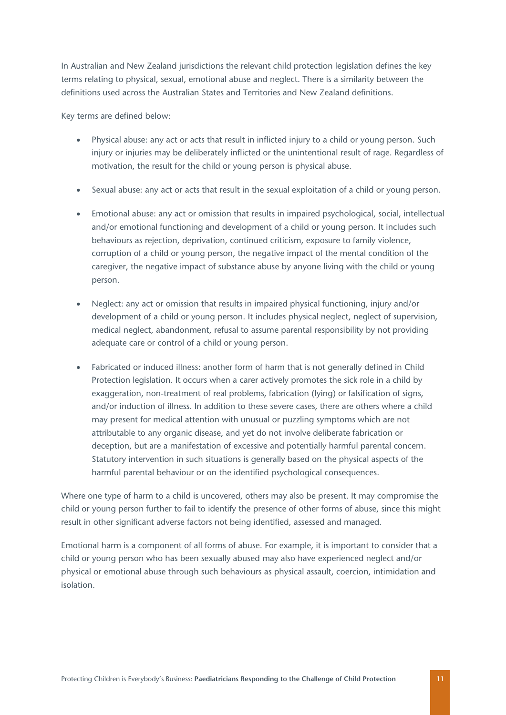In Australian and New Zealand jurisdictions the relevant child protection legislation defines the key terms relating to physical, sexual, emotional abuse and neglect. There is a similarity between the definitions used across the Australian States and Territories and New Zealand definitions.

Key terms are defined below:

- Physical abuse: any act or acts that result in inflicted injury to a child or young person. Such injury or injuries may be deliberately inflicted or the unintentional result of rage. Regardless of motivation, the result for the child or young person is physical abuse.
- Sexual abuse: any act or acts that result in the sexual exploitation of a child or young person.
- Emotional abuse: any act or omission that results in impaired psychological, social, intellectual and/or emotional functioning and development of a child or young person. It includes such behaviours as rejection, deprivation, continued criticism, exposure to family violence, corruption of a child or young person, the negative impact of the mental condition of the caregiver, the negative impact of substance abuse by anyone living with the child or young person.
- Neglect: any act or omission that results in impaired physical functioning, injury and/or development of a child or young person. It includes physical neglect, neglect of supervision, medical neglect, abandonment, refusal to assume parental responsibility by not providing adequate care or control of a child or young person.
- Fabricated or induced illness: another form of harm that is not generally defined in Child Protection legislation. It occurs when a carer actively promotes the sick role in a child by exaggeration, non-treatment of real problems, fabrication (lying) or falsification of signs, and/or induction of illness. In addition to these severe cases, there are others where a child may present for medical attention with unusual or puzzling symptoms which are not attributable to any organic disease, and yet do not involve deliberate fabrication or deception, but are a manifestation of excessive and potentially harmful parental concern. Statutory intervention in such situations is generally based on the physical aspects of the harmful parental behaviour or on the identified psychological consequences.

Where one type of harm to a child is uncovered, others may also be present. It may compromise the child or young person further to fail to identify the presence of other forms of abuse, since this might result in other significant adverse factors not being identified, assessed and managed.

Emotional harm is a component of all forms of abuse. For example, it is important to consider that a child or young person who has been sexually abused may also have experienced neglect and/or physical or emotional abuse through such behaviours as physical assault, coercion, intimidation and isolation.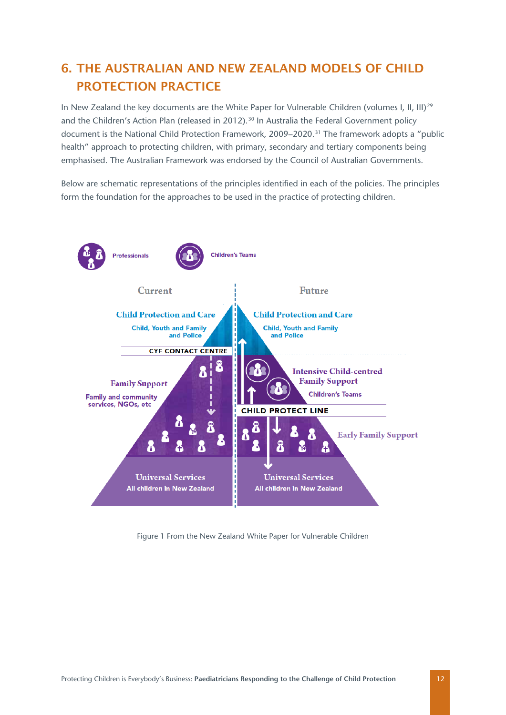# <span id="page-12-0"></span>6. THE AUSTRALIAN AND NEW ZEALAND MODELS OF CHILD PROTECTION PRACTICE

In New Zealand the key documents are the White Paper for Vulnerable Children (volumes I, II, III)<sup>[29](#page-29-3)</sup> and the Children's Action Plan (released in 2012).<sup>[30](#page-29-4)</sup> In Australia the Federal Government policy document is the National Child Protection Framework, 2009–2020. [31](#page-29-5) The framework adopts a "public health" approach to protecting children, with primary, secondary and tertiary components being emphasised. The Australian Framework was endorsed by the Council of Australian Governments.

Below are schematic representations of the principles identified in each of the policies. The principles form the foundation for the approaches to be used in the practice of protecting children.



Figure 1 From the New Zealand White Paper for Vulnerable Children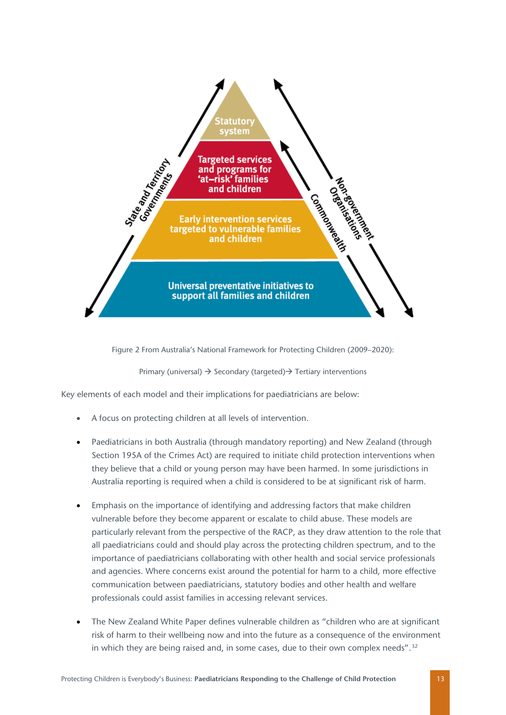

Figure 2 From Australia's National Framework for Protecting Children (2009–2020):

Primary (universal)  $\rightarrow$  Secondary (targeted)  $\rightarrow$  Tertiary interventions

Key elements of each model and their implications for paediatricians are below:

- A focus on protecting children at all levels of intervention.
- Paediatricians in both Australia (through mandatory reporting) and New Zealand (through Section 195A of the Crimes Act) are required to initiate child protection interventions when they believe that a child or young person may have been harmed. In some jurisdictions in Australia reporting is required when a child is considered to be at significant risk of harm.
- Emphasis on the importance of identifying and addressing factors that make children vulnerable before they become apparent or escalate to child abuse. These models are particularly relevant from the perspective of the RACP, as they draw attention to the role that all paediatricians could and should play across the protecting children spectrum, and to the importance of paediatricians collaborating with other health and social service professionals and agencies. Where concerns exist around the potential for harm to a child, more effective communication between paediatricians, statutory bodies and other health and welfare professionals could assist families in accessing relevant services.
- The New Zealand White Paper defines vulnerable children as "children who are at significant risk of harm to their wellbeing now and into the future as a consequence of the environment in which they are being raised and, in some cases, due to their own complex needs".<sup>[32](#page-29-6)</sup>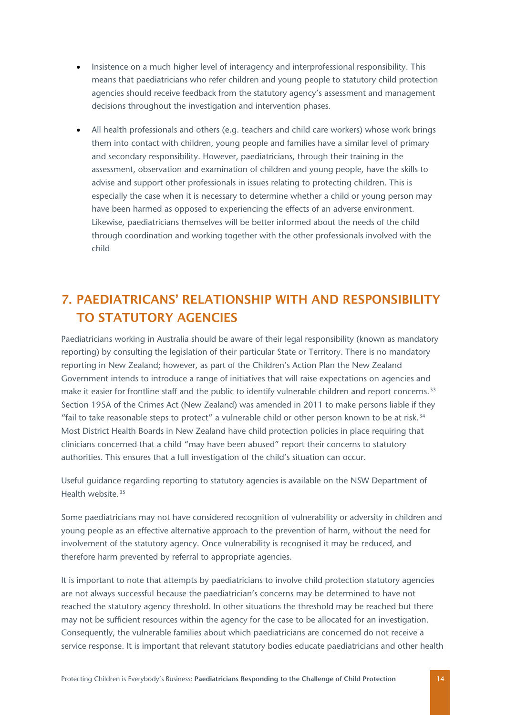- Insistence on a much higher level of interagency and interprofessional responsibility. This means that paediatricians who refer children and young people to statutory child protection agencies should receive feedback from the statutory agency's assessment and management decisions throughout the investigation and intervention phases.
- All health professionals and others (e.g. teachers and child care workers) whose work brings them into contact with children, young people and families have a similar level of primary and secondary responsibility. However, paediatricians, through their training in the assessment, observation and examination of children and young people, have the skills to advise and support other professionals in issues relating to protecting children. This is especially the case when it is necessary to determine whether a child or young person may have been harmed as opposed to experiencing the effects of an adverse environment. Likewise, paediatricians themselves will be better informed about the needs of the child through coordination and working together with the other professionals involved with the child

# <span id="page-14-0"></span>7. PAEDIATRICANS' RELATIONSHIP WITH AND RESPONSIBILITY TO STATUTORY AGENCIES

Paediatricians working in Australia should be aware of their legal responsibility (known as mandatory reporting) by consulting the legislation of their particular State or Territory. There is no mandatory reporting in New Zealand; however, as part of the Children's Action Plan the New Zealand Government intends to introduce a range of initiatives that will raise expectations on agencies and make it easier for frontline staff and the public to identify vulnerable children and report concerns.<sup>[33](#page-29-7)</sup> Section 195A of the Crimes Act (New Zealand) was amended in 2011 to make persons liable if they "fail to take reasonable steps to protect" a vulnerable child or other person known to be at risk. $34$ Most District Health Boards in New Zealand have child protection policies in place requiring that clinicians concerned that a child "may have been abused" report their concerns to statutory authorities. This ensures that a full investigation of the child's situation can occur.

Useful guidance regarding reporting to statutory agencies is available on the NSW Department of Health website [35](#page-29-9)

Some paediatricians may not have considered recognition of vulnerability or adversity in children and young people as an effective alternative approach to the prevention of harm, without the need for involvement of the statutory agency. Once vulnerability is recognised it may be reduced, and therefore harm prevented by referral to appropriate agencies.

It is important to note that attempts by paediatricians to involve child protection statutory agencies are not always successful because the paediatrician's concerns may be determined to have not reached the statutory agency threshold. In other situations the threshold may be reached but there may not be sufficient resources within the agency for the case to be allocated for an investigation. Consequently, the vulnerable families about which paediatricians are concerned do not receive a service response. It is important that relevant statutory bodies educate paediatricians and other health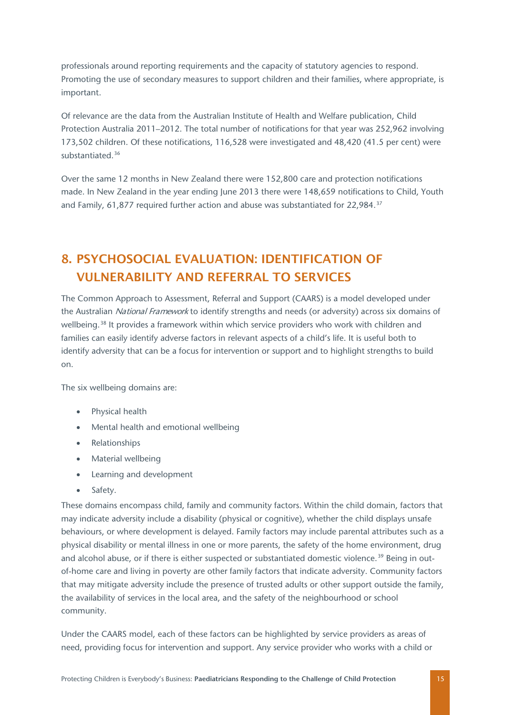professionals around reporting requirements and the capacity of statutory agencies to respond. Promoting the use of secondary measures to support children and their families, where appropriate, is important.

Of relevance are the data from the Australian Institute of Health and Welfare publication, Child Protection Australia 2011–2012. The total number of notifications for that year was 252,962 involving 173,502 children. Of these notifications, 116,528 were investigated and 48,420 (41.5 per cent) were substantiated.[36](#page-29-10)

Over the same 12 months in New Zealand there were 152,800 care and protection notifications made. In New Zealand in the year ending June 2013 there were 148,659 notifications to Child, Youth and Family, 61,877 required further action and abuse was substantiated for 22,984.[37](#page-29-11)

# <span id="page-15-0"></span>8. PSYCHOSOCIAL EVALUATION: IDENTIFICATION OF VULNERABILITY AND REFERRAL TO SERVICES

The Common Approach to Assessment, Referral and Support (CAARS) is a model developed under the Australian National Framework to identify strengths and needs (or adversity) across six domains of wellbeing.<sup>[38](#page-29-12)</sup> It provides a framework within which service providers who work with children and families can easily identify adverse factors in relevant aspects of a child's life. It is useful both to identify adversity that can be a focus for intervention or support and to highlight strengths to build on.

The six wellbeing domains are:

- Physical health
- Mental health and emotional wellbeing
- Relationships
- Material wellbeing
- Learning and development
- Safety.

These domains encompass child, family and community factors. Within the child domain, factors that may indicate adversity include a disability (physical or cognitive), whether the child displays unsafe behaviours, or where development is delayed. Family factors may include parental attributes such as a physical disability or mental illness in one or more parents, the safety of the home environment, drug and alcohol abuse, or if there is either suspected or substantiated domestic violence.<sup>[39](#page-29-1)</sup> Being in outof-home care and living in poverty are other family factors that indicate adversity. Community factors that may mitigate adversity include the presence of trusted adults or other support outside the family, the availability of services in the local area, and the safety of the neighbourhood or school community.

Under the CAARS model, each of these factors can be highlighted by service providers as areas of need, providing focus for intervention and support. Any service provider who works with a child or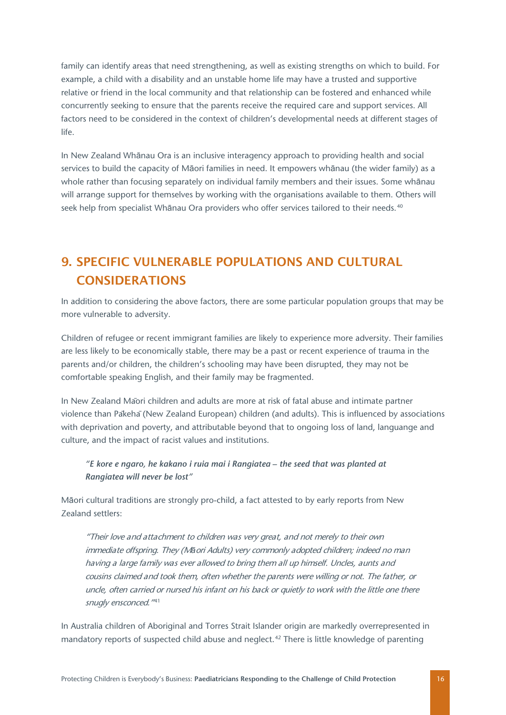family can identify areas that need strengthening, as well as existing strengths on which to build. For example, a child with a disability and an unstable home life may have a trusted and supportive relative or friend in the local community and that relationship can be fostered and enhanced while concurrently seeking to ensure that the parents receive the required care and support services. All factors need to be considered in the context of children's developmental needs at different stages of life.

In New Zealand Whānau Ora is an inclusive interagency approach to providing health and social services to build the capacity of Māori families in need. It empowers whānau (the wider family) as a whole rather than focusing separately on individual family members and their issues. Some whānau will arrange support for themselves by working with the organisations available to them. Others will seek help from specialist Whānau Ora providers who offer services tailored to their needs.<sup>[40](#page-29-13)</sup>

# <span id="page-16-0"></span>9. SPECIFIC VULNERABLE POPULATIONS AND CULTURAL **CONSIDERATIONS**

In addition to considering the above factors, there are some particular population groups that may be more vulnerable to adversity.

Children of refugee or recent immigrant families are likely to experience more adversity. Their families are less likely to be economically stable, there may be a past or recent experience of trauma in the parents and/or children, the children's schooling may have been disrupted, they may not be comfortable speaking English, and their family may be fragmented.

In New Zealand Māori children and adults are more at risk of fatal abuse and intimate partner violence than Pākehā(New Zealand European) children (and adults). This is influenced by associations with deprivation and poverty, and attributable beyond that to ongoing loss of land, languange and culture, and the impact of racist values and institutions.

#### *"E kore e ngaro, he kakano i ruia mai i Rangiatea – the seed that was planted at Rangiatea will never be lost"*

Māori cultural traditions are strongly pro-child, a fact attested to by early reports from New Zealand settlers:

"Their love and attachment to children was very great, and not merely to their own immediate offspring. They (M*ā*ori Adults) very commonly adopted children; indeed no man having a large family was ever allowed to bring them all up himself. Uncles, aunts and cousins claimed and took them, often whether the parents were willing or not. The father, or uncle, often carried or nursed his infant on his back or quietly to work with the little one there snugly ensconced.<sup>"[41](#page-29-14)</sup>

In Australia children of Aboriginal and Torres Strait Islander origin are markedly overrepresented in mandatory reports of suspected child abuse and neglect.<sup>[42](#page-29-15)</sup> There is little knowledge of parenting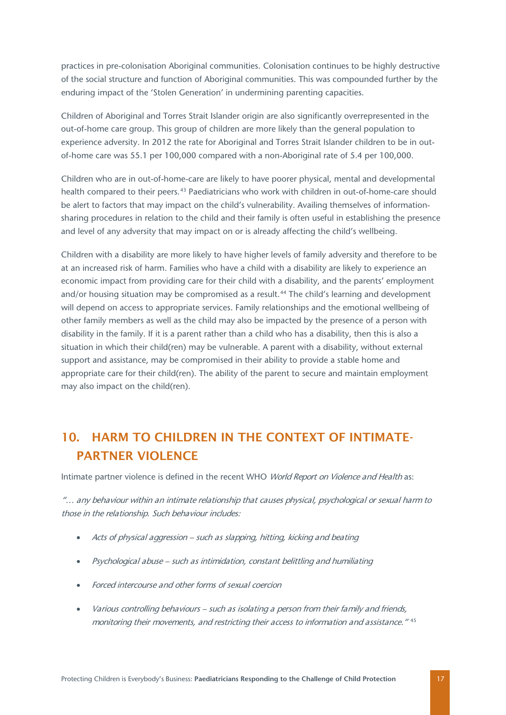practices in pre-colonisation Aboriginal communities. Colonisation continues to be highly destructive of the social structure and function of Aboriginal communities. This was compounded further by the enduring impact of the 'Stolen Generation' in undermining parenting capacities.

Children of Aboriginal and Torres Strait Islander origin are also significantly overrepresented in the out-of-home care group. This group of children are more likely than the general population to experience adversity. In 2012 the rate for Aboriginal and Torres Strait Islander children to be in outof-home care was 55.1 per 100,000 compared with a non-Aboriginal rate of 5.4 per 100,000.

Children who are in out-of-home-care are likely to have poorer physical, mental and developmental health compared to their peers.[43](#page-29-5) Paediatricians who work with children in out-of-home-care should be alert to factors that may impact on the child's vulnerability. Availing themselves of informationsharing procedures in relation to the child and their family is often useful in establishing the presence and level of any adversity that may impact on or is already affecting the child's wellbeing.

Children with a disability are more likely to have higher levels of family adversity and therefore to be at an increased risk of harm. Families who have a child with a disability are likely to experience an economic impact from providing care for their child with a disability, and the parents' employment and/or housing situation may be compromised as a result.<sup>[44](#page-29-16)</sup> The child's learning and development will depend on access to appropriate services. Family relationships and the emotional wellbeing of other family members as well as the child may also be impacted by the presence of a person with disability in the family. If it is a parent rather than a child who has a disability, then this is also a situation in which their child(ren) may be vulnerable. A parent with a disability, without external support and assistance, may be compromised in their ability to provide a stable home and appropriate care for their child(ren). The ability of the parent to secure and maintain employment may also impact on the child(ren).

# <span id="page-17-0"></span>10. HARM TO CHILDREN IN THE CONTEXT OF INTIMATE-PARTNER VIOLENCE

Intimate partner violence is defined in the recent WHO *World Report on Violence and Health* as:

"… any behaviour within an intimate relationship that causes physical, psychological or sexual harm to those in the relationship. Such behaviour includes:

- Acts of physical aggression such as slapping, hitting, kicking and beating
- Psychological abuse such as intimidation, constant belittling and humiliating
- Forced intercourse and other forms of sexual coercion
- Various controlling behaviours such as isolating a person from their family and friends, monitoring their movements, and restricting their access to information and assistance." [45](#page-29-7)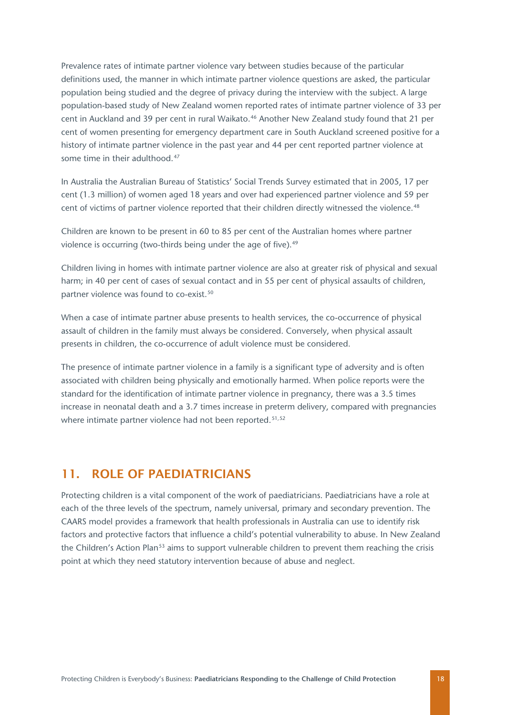Prevalence rates of intimate partner violence vary between studies because of the particular definitions used, the manner in which intimate partner violence questions are asked, the particular population being studied and the degree of privacy during the interview with the subject. A large population-based study of New Zealand women reported rates of intimate partner violence of 33 per cent in Auckland and 39 per cent in rural Waikato.<sup>[46](#page-29-17)</sup> Another New Zealand study found that 21 per cent of women presenting for emergency department care in South Auckland screened positive for a history of intimate partner violence in the past year and 44 per cent reported partner violence at some time in their adulthood <sup>[47](#page-29-18)</sup>

In Australia the Australian Bureau of Statistics' Social Trends Survey estimated that in 2005, 17 per cent (1.3 million) of women aged 18 years and over had experienced partner violence and 59 per cent of victims of partner violence reported that their children directly witnessed the violence.<sup>[48](#page-29-10)</sup>

Children are known to be present in 60 to 85 per cent of the Australian homes where partner violence is occurring (two-thirds being under the age of five).<sup>[49](#page-29-11)</sup>

Children living in homes with intimate partner violence are also at greater risk of physical and sexual harm; in 40 per cent of cases of sexual contact and in 55 per cent of physical assaults of children, partner violence was found to co-exist.<sup>[50](#page-29-19)</sup>

When a case of intimate partner abuse presents to health services, the co-occurrence of physical assault of children in the family must always be considered. Conversely, when physical assault presents in children, the co-occurrence of adult violence must be considered.

The presence of intimate partner violence in a family is a significant type of adversity and is often associated with children being physically and emotionally harmed. When police reports were the standard for the identification of intimate partner violence in pregnancy, there was a 3.5 times increase in neonatal death and a 3.7 times increase in preterm delivery, compared with pregnancies where intimate partner violence had not been reported.<sup>[51,](#page-29-0)[52](#page-29-20)</sup>

#### <span id="page-18-0"></span>11. ROLE OF PAEDIATRICIANS

Protecting children is a vital component of the work of paediatricians. Paediatricians have a role at each of the three levels of the spectrum, namely universal, primary and secondary prevention. The CAARS model provides a framework that health professionals in Australia can use to identify risk factors and protective factors that influence a child's potential vulnerability to abuse. In New Zealand the Children's Action Plan<sup>[53](#page-29-21)</sup> aims to support vulnerable children to prevent them reaching the crisis point at which they need statutory intervention because of abuse and neglect.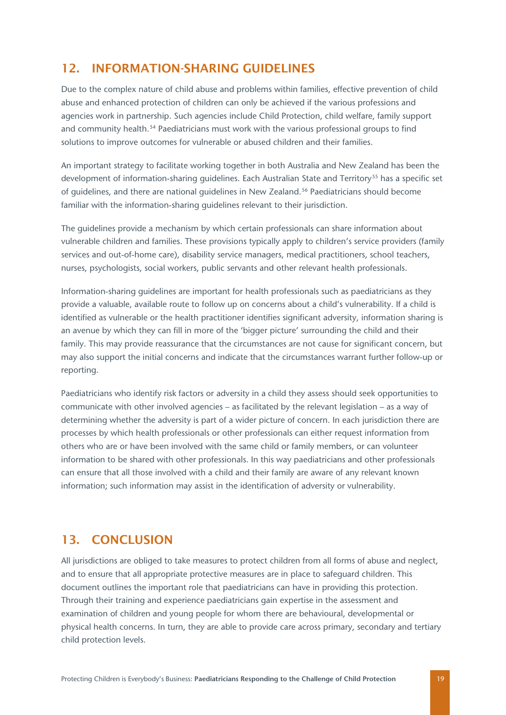### <span id="page-19-0"></span>12. INFORMATION-SHARING GUIDELINES

Due to the complex nature of child abuse and problems within families, effective prevention of child abuse and enhanced protection of children can only be achieved if the various professions and agencies work in partnership. Such agencies include Child Protection, child welfare, family support and community health.<sup>[54](#page-29-14)</sup> Paediatricians must work with the various professional groups to find solutions to improve outcomes for vulnerable or abused children and their families.

An important strategy to facilitate working together in both Australia and New Zealand has been the development of information-sharing guidelines. Each Australian State and Territory<sup>[55](#page-29-15)</sup> has a specific set of guidelines, and there are national guidelines in New Zealand.<sup>[56](#page-29-5)</sup> Paediatricians should become familiar with the information-sharing guidelines relevant to their jurisdiction.

The guidelines provide a mechanism by which certain professionals can share information about vulnerable children and families. These provisions typically apply to children's service providers (family services and out-of-home care), disability service managers, medical practitioners, school teachers, nurses, psychologists, social workers, public servants and other relevant health professionals.

Information-sharing guidelines are important for health professionals such as paediatricians as they provide a valuable, available route to follow up on concerns about a child's vulnerability. If a child is identified as vulnerable or the health practitioner identifies significant adversity, information sharing is an avenue by which they can fill in more of the 'bigger picture' surrounding the child and their family. This may provide reassurance that the circumstances are not cause for significant concern, but may also support the initial concerns and indicate that the circumstances warrant further follow-up or reporting.

Paediatricians who identify risk factors or adversity in a child they assess should seek opportunities to communicate with other involved agencies – as facilitated by the relevant legislation – as a way of determining whether the adversity is part of a wider picture of concern. In each jurisdiction there are processes by which health professionals or other professionals can either request information from others who are or have been involved with the same child or family members, or can volunteer information to be shared with other professionals. In this way paediatricians and other professionals can ensure that all those involved with a child and their family are aware of any relevant known information; such information may assist in the identification of adversity or vulnerability.

### <span id="page-19-1"></span>13. CONCLUSION

All jurisdictions are obliged to take measures to protect children from all forms of abuse and neglect, and to ensure that all appropriate protective measures are in place to safeguard children. This document outlines the important role that paediatricians can have in providing this protection. Through their training and experience paediatricians gain expertise in the assessment and examination of children and young people for whom there are behavioural, developmental or physical health concerns. In turn, they are able to provide care across primary, secondary and tertiary child protection levels.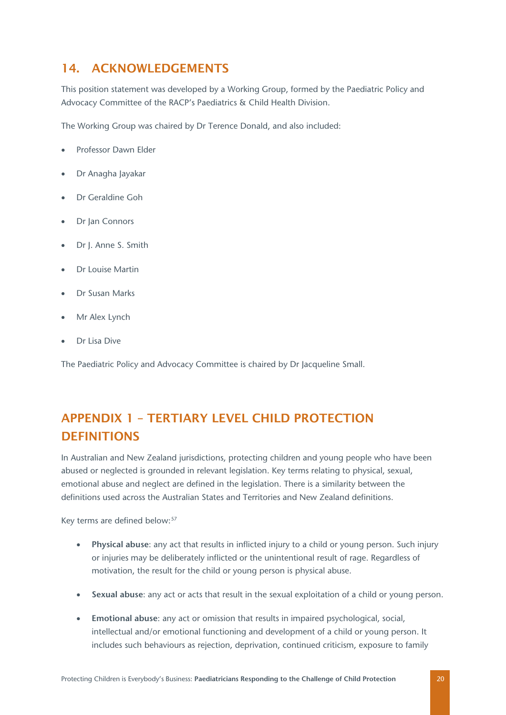### <span id="page-20-0"></span>14. ACKNOWLEDGEMENTS

This position statement was developed by a Working Group, formed by the Paediatric Policy and Advocacy Committee of the RACP's Paediatrics & Child Health Division.

The Working Group was chaired by Dr Terence Donald, and also included:

- Professor Dawn Elder
- Dr Anagha Jayakar
- Dr Geraldine Goh
- **Dr Jan Connors**
- Dr J. Anne S. Smith
- Dr Louise Martin
- Dr Susan Marks
- Mr Alex Lynch
- Dr Lisa Dive

The Paediatric Policy and Advocacy Committee is chaired by Dr Jacqueline Small.

# <span id="page-20-1"></span>APPENDIX 1 – TERTIARY LEVEL CHILD PROTECTION **DEFINITIONS**

In Australian and New Zealand jurisdictions, protecting children and young people who have been abused or neglected is grounded in relevant legislation. Key terms relating to physical, sexual, emotional abuse and neglect are defined in the legislation. There is a similarity between the definitions used across the Australian States and Territories and New Zealand definitions.

Key terms are defined below:<sup>[57](#page-29-22)</sup>

- **Physical abuse**: any act that results in inflicted injury to a child or young person. Such injury or injuries may be deliberately inflicted or the unintentional result of rage. Regardless of motivation, the result for the child or young person is physical abuse.
- **Sexual abuse**: any act or acts that result in the sexual exploitation of a child or young person.
- **Emotional abuse**: any act or omission that results in impaired psychological, social, intellectual and/or emotional functioning and development of a child or young person. It includes such behaviours as rejection, deprivation, continued criticism, exposure to family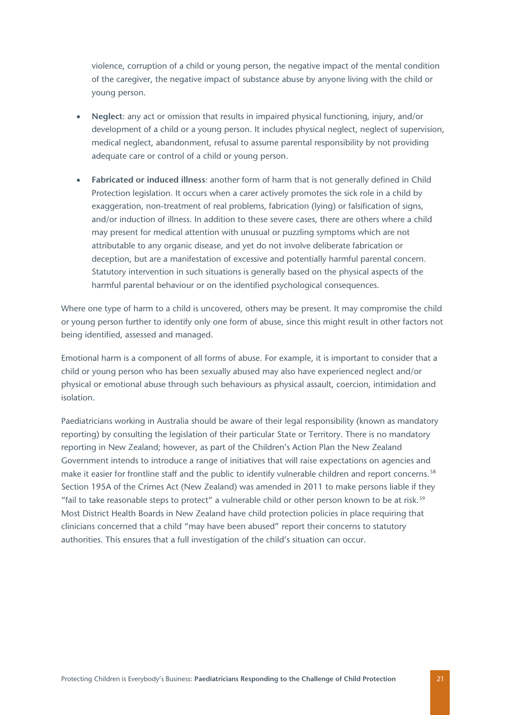violence, corruption of a child or young person, the negative impact of the mental condition of the caregiver, the negative impact of substance abuse by anyone living with the child or young person.

- **Neglect**: any act or omission that results in impaired physical functioning, injury, and/or development of a child or a young person. It includes physical neglect, neglect of supervision, medical neglect, abandonment, refusal to assume parental responsibility by not providing adequate care or control of a child or young person.
- **Fabricated or induced illness**: another form of harm that is not generally defined in Child Protection legislation. It occurs when a carer actively promotes the sick role in a child by exaggeration, non-treatment of real problems, fabrication (lying) or falsification of signs, and/or induction of illness. In addition to these severe cases, there are others where a child may present for medical attention with unusual or puzzling symptoms which are not attributable to any organic disease, and yet do not involve deliberate fabrication or deception, but are a manifestation of excessive and potentially harmful parental concern. Statutory intervention in such situations is generally based on the physical aspects of the harmful parental behaviour or on the identified psychological consequences.

Where one type of harm to a child is uncovered, others may be present. It may compromise the child or young person further to identify only one form of abuse, since this might result in other factors not being identified, assessed and managed.

Emotional harm is a component of all forms of abuse. For example, it is important to consider that a child or young person who has been sexually abused may also have experienced neglect and/or physical or emotional abuse through such behaviours as physical assault, coercion, intimidation and isolation.

Paediatricians working in Australia should be aware of their legal responsibility (known as mandatory reporting) by consulting the legislation of their particular State or Territory. There is no mandatory reporting in New Zealand; however, as part of the Children's Action Plan the New Zealand Government intends to introduce a range of initiatives that will raise expectations on agencies and make it easier for frontline staff and the public to identify vulnerable children and report concerns.<sup>[58](#page-29-23)</sup> Section 195A of the Crimes Act (New Zealand) was amended in 2011 to make persons liable if they "fail to take reasonable steps to protect" a vulnerable child or other person known to be at risk.<sup>[59](#page-29-24)</sup> Most District Health Boards in New Zealand have child protection policies in place requiring that clinicians concerned that a child "may have been abused" report their concerns to statutory authorities. This ensures that a full investigation of the child's situation can occur.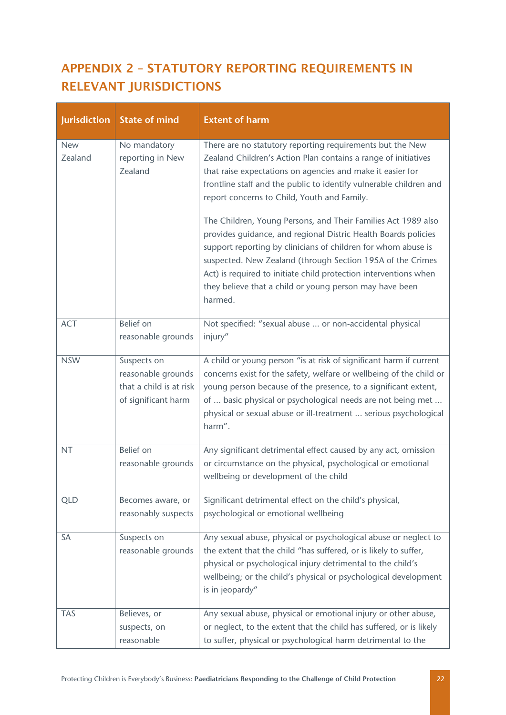# <span id="page-22-0"></span>APPENDIX 2 – STATUTORY REPORTING REQUIREMENTS IN RELEVANT JURISDICTIONS

| <b>Jurisdiction</b>   | <b>State of mind</b>                                                                | <b>Extent of harm</b>                                                                                                                                                                                                                                                                                                                                                                                    |
|-----------------------|-------------------------------------------------------------------------------------|----------------------------------------------------------------------------------------------------------------------------------------------------------------------------------------------------------------------------------------------------------------------------------------------------------------------------------------------------------------------------------------------------------|
| <b>New</b><br>Zealand | No mandatory<br>reporting in New<br>Zealand                                         | There are no statutory reporting requirements but the New<br>Zealand Children's Action Plan contains a range of initiatives<br>that raise expectations on agencies and make it easier for<br>frontline staff and the public to identify vulnerable children and<br>report concerns to Child, Youth and Family.                                                                                           |
|                       |                                                                                     | The Children, Young Persons, and Their Families Act 1989 also<br>provides guidance, and regional Distric Health Boards policies<br>support reporting by clinicians of children for whom abuse is<br>suspected. New Zealand (through Section 195A of the Crimes<br>Act) is required to initiate child protection interventions when<br>they believe that a child or young person may have been<br>harmed. |
| <b>ACT</b>            | Belief on<br>reasonable grounds                                                     | Not specified: "sexual abuse  or non-accidental physical<br>injury"                                                                                                                                                                                                                                                                                                                                      |
| <b>NSW</b>            | Suspects on<br>reasonable grounds<br>that a child is at risk<br>of significant harm | A child or young person "is at risk of significant harm if current<br>concerns exist for the safety, welfare or wellbeing of the child or<br>young person because of the presence, to a significant extent,<br>of  basic physical or psychological needs are not being met<br>physical or sexual abuse or ill-treatment  serious psychological<br>harm".                                                 |
| <b>NT</b>             | Belief on<br>reasonable grounds                                                     | Any significant detrimental effect caused by any act, omission<br>or circumstance on the physical, psychological or emotional<br>wellbeing or development of the child                                                                                                                                                                                                                                   |
| <b>QLD</b>            | Becomes aware, or<br>reasonably suspects                                            | Significant detrimental effect on the child's physical,<br>psychological or emotional wellbeing                                                                                                                                                                                                                                                                                                          |
| <b>SA</b>             | Suspects on<br>reasonable grounds                                                   | Any sexual abuse, physical or psychological abuse or neglect to<br>the extent that the child "has suffered, or is likely to suffer,<br>physical or psychological injury detrimental to the child's<br>wellbeing; or the child's physical or psychological development<br>is in jeopardy"                                                                                                                 |
| <b>TAS</b>            | Believes, or<br>suspects, on<br>reasonable                                          | Any sexual abuse, physical or emotional injury or other abuse,<br>or neglect, to the extent that the child has suffered, or is likely<br>to suffer, physical or psychological harm detrimental to the                                                                                                                                                                                                    |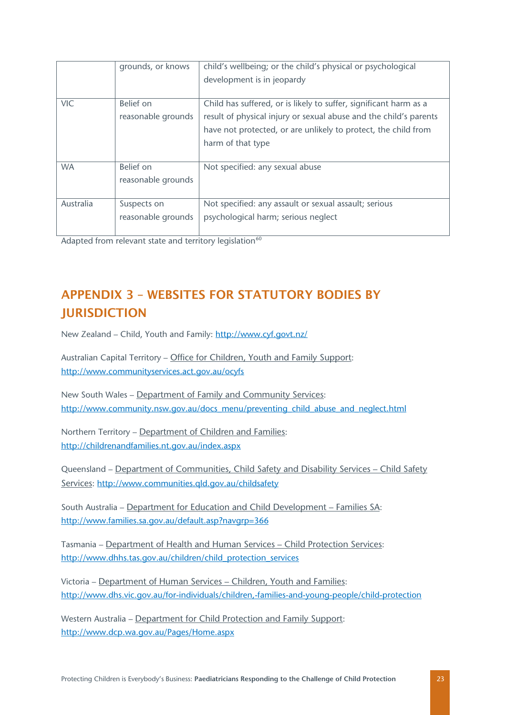|            | grounds, or knows  | child's wellbeing; or the child's physical or psychological       |
|------------|--------------------|-------------------------------------------------------------------|
|            |                    | development is in jeopardy                                        |
|            |                    |                                                                   |
| <b>VIC</b> | Belief on          | Child has suffered, or is likely to suffer, significant harm as a |
|            | reasonable grounds | result of physical injury or sexual abuse and the child's parents |
|            |                    | have not protected, or are unlikely to protect, the child from    |
|            |                    | harm of that type                                                 |
|            |                    |                                                                   |
| <b>WA</b>  | Belief on          | Not specified: any sexual abuse                                   |
|            | reasonable grounds |                                                                   |
|            |                    |                                                                   |
| Australia  | Suspects on        | Not specified: any assault or sexual assault; serious             |
|            | reasonable grounds | psychological harm; serious neglect                               |
|            |                    |                                                                   |

Adapted from relevant state and territory legislation<sup>[60](#page-29-25)</sup>

# <span id="page-23-0"></span>APPENDIX 3 – WEBSITES FOR STATUTORY BODIES BY **IURISDICTION**

New Zealand – Child, Youth and Family:<http://www.cyf.govt.nz/>

Australian Capital Territory – Office for Children, Youth and Family Support: <http://www.communityservices.act.gov.au/ocyfs>

New South Wales – [Department of Family and Community Services:](http://www.community.nsw.gov.au/preventing_child_abuse_and_neglect.html) [http://www.community.nsw.gov.au/docs\\_menu/preventing\\_child\\_abuse\\_and\\_neglect.html](http://www.community.nsw.gov.au/docs_menu/preventing_child_abuse_and_neglect.html)

Northern Territory – [Department of Children and Families:](http://childrenandfamilies.nt.gov.au/index.aspx) <http://childrenandfamilies.nt.gov.au/index.aspx>

Queensland – Department of Communities, [Child Safety and Disability Services –](http://www.communities.qld.gov.au/childsafety/) Child Safety [Services:](http://www.communities.qld.gov.au/childsafety/)<http://www.communities.qld.gov.au/childsafety>

South Australia – [Department for Education and Child Development –](http://www.families.sa.gov.au/default.asp?navgrp=366) Families SA: <http://www.families.sa.gov.au/default.asp?navgrp=366>

Tasmania – [Department of Health and Human Services –](http://www.dhhs.tas.gov.au/children/child_protection_services) Child Protection Services: [http://www.dhhs.tas.gov.au/children/child\\_protection\\_services](http://www.dhhs.tas.gov.au/children/child_protection_services)

Victoria – [Department of Human Services –](http://www.dhs.vic.gov.au/for-individuals/children,-families-and-young-people/child-protection) Children, Youth and Families: <http://www.dhs.vic.gov.au/for-individuals/children,-families-and-young-people/child-protection>

Western Australia – [Department for Child Protection and Family Support:](http://www.dcp.wa.gov.au/Pages/Home.aspx) <http://www.dcp.wa.gov.au/Pages/Home.aspx>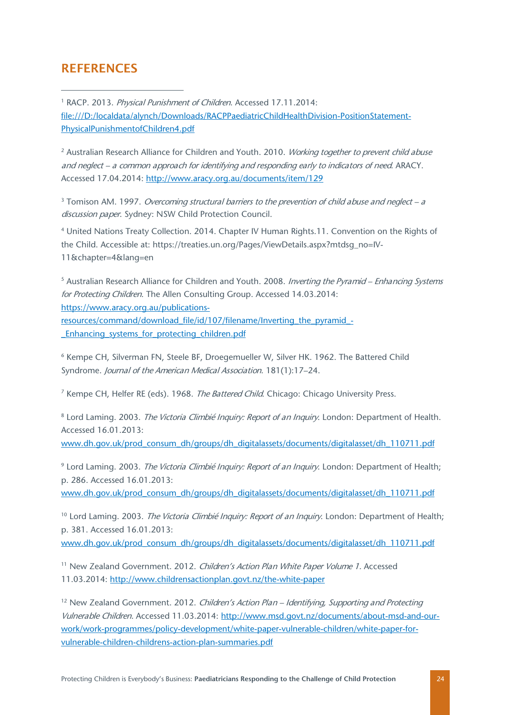#### <span id="page-24-0"></span>**REFERENCES**

-

<span id="page-24-1"></span><sup>1</sup> RACP. 2013. Physical Punishment of Children. Accessed 17.11.2014: file:///D:/localdata/alynch/Downloads/RACPPaediatricChildHealthDivision-PositionStatement-PhysicalPunishmentofChildren4.pdf

<span id="page-24-2"></span><sup>2</sup> Australian Research Alliance for Children and Youth. 2010. *Working together to prevent child abuse* and neglect – a common approach for identifying and responding early to indicators of need. ARACY. Accessed 17.04.2014:<http://www.aracy.org.au/documents/item/129>

<span id="page-24-3"></span> $3$  Tomison AM. 1997. Overcoming structural barriers to the prevention of child abuse and neglect – a discussion paper. Sydney: NSW Child Protection Council.

<sup>4</sup> United Nations Treaty Collection. 2014. Chapter IV Human Rights.11. Convention on the Rights of the Child. Accessible at: https://treaties.un.org/Pages/ViewDetails.aspx?mtdsg\_no=IV-11&chapter=4&lang=en

<sup>5</sup> Australian Research Alliance for Children and Youth. 2008. *Inverting the Pyramid – Enhancing Systems* for Protecting Children. The Allen Consulting Group. Accessed 14.03.2014: [https://www.aracy.org.au/publications](https://www.aracy.org.au/publications-resources/command/download_file/id/107/filename/Inverting_the_pyramid_-_Enhancing_systems_for_protecting_children.pdf)[resources/command/download\\_file/id/107/filename/Inverting\\_the\\_pyramid\\_-](https://www.aracy.org.au/publications-resources/command/download_file/id/107/filename/Inverting_the_pyramid_-_Enhancing_systems_for_protecting_children.pdf)

[\\_Enhancing\\_systems\\_for\\_protecting\\_children.pdf](https://www.aracy.org.au/publications-resources/command/download_file/id/107/filename/Inverting_the_pyramid_-_Enhancing_systems_for_protecting_children.pdf)

<sup>6</sup> Kempe CH, Silverman FN, Steele BF, Droegemueller W, Silver HK. 1962. The Battered Child Syndrome. Journal of the American Medical Association. 181(1):17–24.

<sup>7</sup> Kempe CH, Helfer RE (eds). 1968. The Battered Child. Chicago: Chicago University Press.

<sup>8</sup> Lord Laming. 2003. The Victoria Climbié Inquiry: Report of an Inquiry. London: Department of Health. Accessed 16.01.2013: [www.dh.gov.uk/prod\\_consum\\_dh/groups/dh\\_digitalassets/documents/digitalasset/dh\\_110711.pdf](http://www.dh.gov.uk/prod_consum_dh/groups/dh_digitalassets/documents/digitalasset/dh_110711.pdf)

<sup>9</sup> Lord Laming. 2003. The Victoria Climbié Inquiry: Report of an Inquiry. London: Department of Health; p. 286. Accessed 16.01.2013:

[www.dh.gov.uk/prod\\_consum\\_dh/groups/dh\\_digitalassets/documents/digitalasset/dh\\_110711.pdf](http://www.dh.gov.uk/prod_consum_dh/groups/dh_digitalassets/documents/digitalasset/dh_110711.pdf)

<sup>10</sup> Lord Laming. 2003. The Victoria Climbié Inquiry: Report of an Inquiry. London: Department of Health; p. 381. Accessed 16.01.2013:

[www.dh.gov.uk/prod\\_consum\\_dh/groups/dh\\_digitalassets/documents/digitalasset/dh\\_110711.pdf](http://www.dh.gov.uk/prod_consum_dh/groups/dh_digitalassets/documents/digitalasset/dh_110711.pdf)

<sup>11</sup> New Zealand Government. 2012. Children's Action Plan White Paper Volume 1. Accessed 11.03.2014:<http://www.childrensactionplan.govt.nz/the-white-paper>

<sup>12</sup> New Zealand Government, 2012. Children's Action Plan – Identifying, Supporting and Protecting Vulnerable Children. Accessed 11.03.2014: [http://www.msd.govt.nz/documents/about-msd-and-our](http://www.msd.govt.nz/documents/about-msd-and-our-work/work-programmes/policy-development/white-paper-vulnerable-children/white-paper-for-vulnerable-children-childrens-action-plan-summaries.pdf)[work/work-programmes/policy-development/white-paper-vulnerable-children/white-paper-for](http://www.msd.govt.nz/documents/about-msd-and-our-work/work-programmes/policy-development/white-paper-vulnerable-children/white-paper-for-vulnerable-children-childrens-action-plan-summaries.pdf)[vulnerable-children-childrens-action-plan-summaries.pdf](http://www.msd.govt.nz/documents/about-msd-and-our-work/work-programmes/policy-development/white-paper-vulnerable-children/white-paper-for-vulnerable-children-childrens-action-plan-summaries.pdf)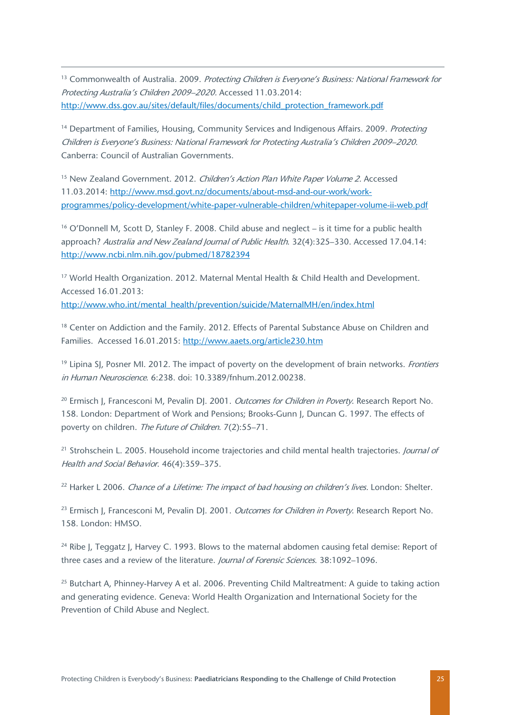<sup>13</sup> Commonwealth of Australia. 2009. Protecting Children is Everyone's Business: National Framework for Protecting Australia's Children 2009–2020. Accessed 11.03.2014: [http://www.dss.gov.au/sites/default/files/documents/child\\_protection\\_framework.pdf](http://www.dss.gov.au/sites/default/files/documents/child_protection_framework.pdf)

 $\overline{a}$ 

<sup>14</sup> Department of Families, Housing, Community Services and Indigenous Affairs, 2009. *Protecting* Children is Everyone's Business: National Framework for Protecting Australia's Children 2009–2020. Canberra: Council of Australian Governments.

<sup>15</sup> New Zealand Government. 2012. Children's Action Plan White Paper Volume 2. Accessed 11.03.2014: [http://www.msd.govt.nz/documents/about-msd-and-our-work/work](http://www.msd.govt.nz/documents/about-msd-and-our-work/work-programmes/policy-development/white-paper-vulnerable-children/whitepaper-volume-ii-web.pdf)[programmes/policy-development/white-paper-vulnerable-children/whitepaper-volume-ii-web.pdf](http://www.msd.govt.nz/documents/about-msd-and-our-work/work-programmes/policy-development/white-paper-vulnerable-children/whitepaper-volume-ii-web.pdf)

<span id="page-25-0"></span><sup>16</sup> O'Donnell M, Scott D, Stanley F. 2008. Child abuse and neglect – is it time for a public health approach? Australia and New Zealand Journal of Public Health. 32(4):325-330. Accessed 17.04.14: <http://www.ncbi.nlm.nih.gov/pubmed/18782394>

<span id="page-25-1"></span><sup>17</sup> World Health Organization. 2012. Maternal Mental Health & Child Health and Development. Accessed 16.01.2013:

http://www.who.int/mental\_health/prevention/suicide/MaternalMH/en/index.html

<sup>18</sup> Center on Addiction and the Family. 2012. Effects of Parental Substance Abuse on Children and Families. Accessed 16.01.2015: http://www.aaets.org/article230.htm

<span id="page-25-2"></span><sup>19</sup> Lipina SJ, Posner MI. 2012. The impact of poverty on the development of brain networks. Frontiers in Human Neuroscience. 6:238. doi: 10.3389/fnhum.2012.00238.

<sup>20</sup> Ermisch J, Francesconi M, Pevalin DJ, 2001. *Outcomes for Children in Poverty*. Research Report No. 158. London: Department of Work and Pensions; Brooks-Gunn J, Duncan G. 1997. The effects of poverty on children. The Future of Children. 7(2):55–71.

<sup>21</sup> Strohschein L. 2005. Household income trajectories and child mental health trajectories. *Journal of* Health and Social Behavior. 46(4):359–375.

<sup>22</sup> Harker L 2006. Chance of a Lifetime: The impact of bad housing on children's lives. London: Shelter.

<sup>23</sup> Ermisch J, Francesconi M, Pevalin DJ, 2001. *Outcomes for Children in Poverty*. Research Report No. 158. London: HMSO.

<sup>24</sup> Ribe J, Teggatz J, Harvey C. 1993. Blows to the maternal abdomen causing fetal demise: Report of three cases and a review of the literature. Journal of Forensic Sciences. 38:1092-1096.

<sup>25</sup> Butchart A, Phinney-Harvey A et al. 2006. Preventing Child Maltreatment: A quide to taking action and generating evidence. Geneva: World Health Organization and International Society for the Prevention of Child Abuse and Neglect.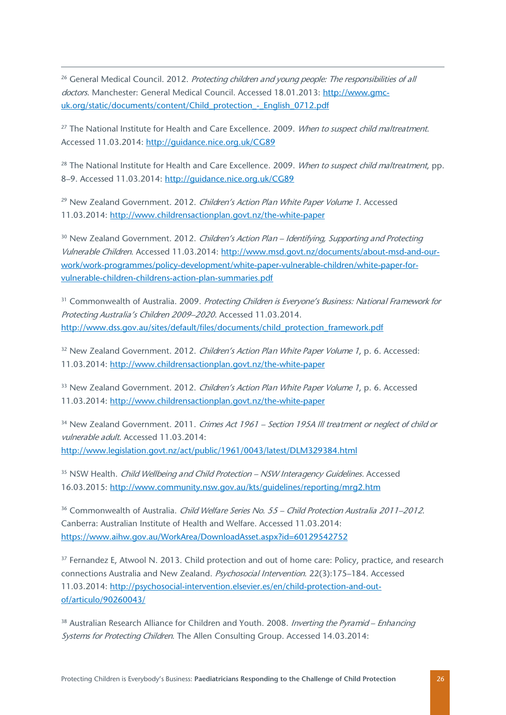<sup>26</sup> General Medical Council. 2012. Protecting children and young people: The responsibilities of all doctors. Manchester: General Medical Council. Accessed 18.01.2013: [http://www.gmc](http://www.gmc-uk.org/static/documents/content/Child_protection_-_English_0712.pdf)uk.org/static/documents/content/Child\_protection - English\_0712.pdf

 $\overline{a}$ 

<sup>27</sup> The National Institute for Health and Care Excellence. 2009. *When to suspect child maltreatment.* Accessed 11.03.2014:<http://guidance.nice.org.uk/CG89>

<sup>28</sup> The National Institute for Health and Care Excellence. 2009. When to suspect child maltreatment, pp. 8–9. Accessed 11.03.2014:<http://guidance.nice.org.uk/CG89>

<sup>29</sup> New Zealand Government. 2012. Children's Action Plan White Paper Volume 1. Accessed 11.03.2014:<http://www.childrensactionplan.govt.nz/the-white-paper>

<sup>30</sup> New Zealand Government. 2012. Children's Action Plan – Identifying, Supporting and Protecting Vulnerable Children. Accessed 11.03.2014: [http://www.msd.govt.nz/documents/about-msd-and-our](http://www.msd.govt.nz/documents/about-msd-and-our-work/work-programmes/policy-development/white-paper-vulnerable-children/white-paper-for-vulnerable-children-childrens-action-plan-summaries.pdf)[work/work-programmes/policy-development/white-paper-vulnerable-children/white-paper-for](http://www.msd.govt.nz/documents/about-msd-and-our-work/work-programmes/policy-development/white-paper-vulnerable-children/white-paper-for-vulnerable-children-childrens-action-plan-summaries.pdf)[vulnerable-children-childrens-action-plan-summaries.pdf](http://www.msd.govt.nz/documents/about-msd-and-our-work/work-programmes/policy-development/white-paper-vulnerable-children/white-paper-for-vulnerable-children-childrens-action-plan-summaries.pdf)

<sup>31</sup> Commonwealth of Australia. 2009. Protecting Children is Everyone's Business: National Framework for Protecting Australia's Children 2009–2020. Accessed 11.03.2014. [http://www.dss.gov.au/sites/default/files/documents/child\\_protection\\_framework.pdf](http://www.dss.gov.au/sites/default/files/documents/child_protection_framework.pdf)

<sup>32</sup> New Zealand Government. 2012. Children's Action Plan White Paper Volume 1, p. 6. Accessed: 11.03.2014:<http://www.childrensactionplan.govt.nz/the-white-paper>

<span id="page-26-0"></span><sup>33</sup> New Zealand Government. 2012. *Children's Action Plan White Paper Volume 1*, p. 6. Accessed 11.03.2014:<http://www.childrensactionplan.govt.nz/the-white-paper>

<span id="page-26-1"></span><sup>34</sup> New Zealand Government. 2011. Crimes Act 1961 – Section 195A III treatment or neglect of child or vulnerable adult. Accessed 11.03.2014: <http://www.legislation.govt.nz/act/public/1961/0043/latest/DLM329384.html>

<span id="page-26-2"></span><sup>35</sup> NSW Health. *Child Wellbeing and Child Protection – NSW Interagency Guidelines.* Accessed 16.03.2015:<http://www.community.nsw.gov.au/kts/guidelines/reporting/mrg2.htm>

<span id="page-26-3"></span><sup>36</sup> Commonwealth of Australia. Child Welfare Series No. 55 – Child Protection Australia 2011–2012. Canberra: Australian Institute of Health and Welfare. Accessed 11.03.2014: <https://www.aihw.gov.au/WorkArea/DownloadAsset.aspx?id=60129542752>

<sup>37</sup> Fernandez E, Atwool N. 2013. Child protection and out of home care: Policy, practice, and research connections Australia and New Zealand. Psychosocial Intervention. 22(3):175-184. Accessed 11.03.2014: [http://psychosocial-intervention.elsevier.es/en/child-protection-and-out](http://psychosocial-intervention.elsevier.es/en/child-protection-and-out-of/articulo/90260043/)[of/articulo/90260043/](http://psychosocial-intervention.elsevier.es/en/child-protection-and-out-of/articulo/90260043/)

<sup>38</sup> Australian Research Alliance for Children and Youth. 2008. *Inverting the Pyramid – Enhancing* Systems for Protecting Children. The Allen Consulting Group. Accessed 14.03.2014: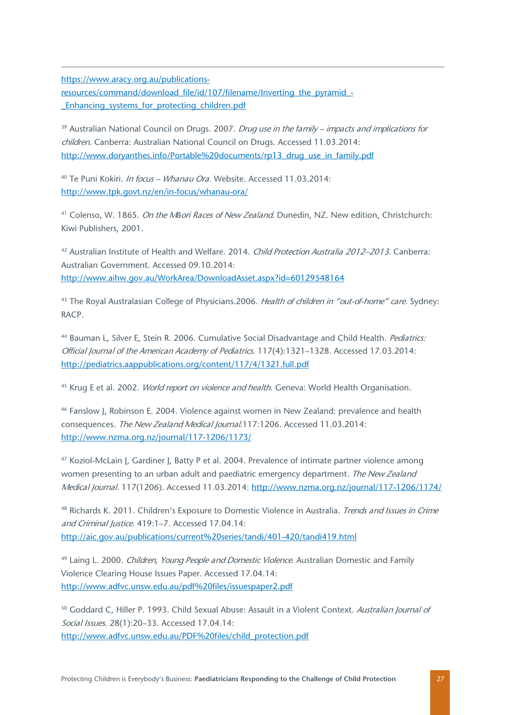<span id="page-27-2"></span>[https://www.aracy.org.au/publications-](https://www.aracy.org.au/publications-resources/command/download_file/id/107/filename/Inverting_the_pyramid_-_Enhancing_systems_for_protecting_children.pdf)

 $\overline{a}$ 

[resources/command/download\\_file/id/107/filename/Inverting\\_the\\_pyramid\\_-](https://www.aracy.org.au/publications-resources/command/download_file/id/107/filename/Inverting_the_pyramid_-_Enhancing_systems_for_protecting_children.pdf) [\\_Enhancing\\_systems\\_for\\_protecting\\_children.pdf](https://www.aracy.org.au/publications-resources/command/download_file/id/107/filename/Inverting_the_pyramid_-_Enhancing_systems_for_protecting_children.pdf)

<span id="page-27-3"></span> $39$  Australian National Council on Drugs. 2007. *Drug use in the family – impacts and implications for* children. Canberra: Australian National Council on Drugs. Accessed 11.03.2014: [http://www.doryanthes.info/Portable%20documents/rp13\\_drug\\_use\\_in\\_family.pdf](http://www.doryanthes.info/Portable%20documents/rp13_drug_use_in_family.pdf)

<span id="page-27-4"></span><sup>40</sup> Te Puni Kokiri. *In focus - Whanau Ora*. Website. Accessed 11.03.2014: <http://www.tpk.govt.nz/en/in-focus/whanau-ora/>

<span id="page-27-5"></span><sup>41</sup> Colenso, W. 1865. On the M*ā*ori Races of New Zealand. Dunedin, NZ. New edition, Christchurch: Kiwi Publishers, 2001.

<sup>42</sup> Australian Institute of Health and Welfare. 2014. Child Protection Australia 2012–2013. Canberra: Australian Government. Accessed 09.10.2014: <http://www.aihw.gov.au/WorkArea/DownloadAsset.aspx?id=60129548164>

<sup>43</sup> The Royal Australasian College of Physicians.2006. Health of children in "out-of-home" care. Sydney: RACP.

44 Bauman L, Silver E, Stein R. 2006. Cumulative Social Disadvantage and Child Health. Pediatrics: Official Journal of the American Academy of Pediatrics. 117(4):1321–1328. Accessed 17.03.2014: <http://pediatrics.aappublications.org/content/117/4/1321.full.pdf>

<sup>45</sup> Krug E et al. 2002. *World report on violence and health*. Geneva: World Health Organisation.

<sup>46</sup> Fanslow J, Robinson E. 2004. Violence against women in New Zealand: prevalence and health consequences. The New Zealand Medical Journal.117:1206. Accessed 11.03.2014: <http://www.nzma.org.nz/journal/117-1206/1173/>

<sup>47</sup> Koziol-McLain J, Gardiner J, Batty P et al. 2004. Prevalence of intimate partner violence among women presenting to an urban adult and paediatric emergency department. The New Zealand Medical Journal. 117(1206). Accessed 11.03.2014:<http://www.nzma.org.nz/journal/117-1206/1174/>

<sup>48</sup> Richards K. 2011. Children's Exposure to Domestic Violence in Australia. *Trends and Issues in Crime* and Criminal Justice. 419:1–7. Accessed 17.04.14: <http://aic.gov.au/publications/current%20series/tandi/401-420/tandi419.html>

<span id="page-27-0"></span><sup>49</sup> Laing L. 2000. *Children, Young People and Domestic Violence*. Australian Domestic and Family Violence Clearing House Issues Paper. Accessed 17.04.14: <http://www.adfvc.unsw.edu.au/pdf%20files/issuespaper2.pdf>

<span id="page-27-1"></span><sup>50</sup> Goddard C, Hiller P. 1993. Child Sexual Abuse: Assault in a Violent Context. Australian Journal of Social Issues. 28(1):20–33. Accessed 17.04.14: [http://www.adfvc.unsw.edu.au/PDF%20files/child\\_protection.pdf](http://www.adfvc.unsw.edu.au/PDF%20files/child_protection.pdf)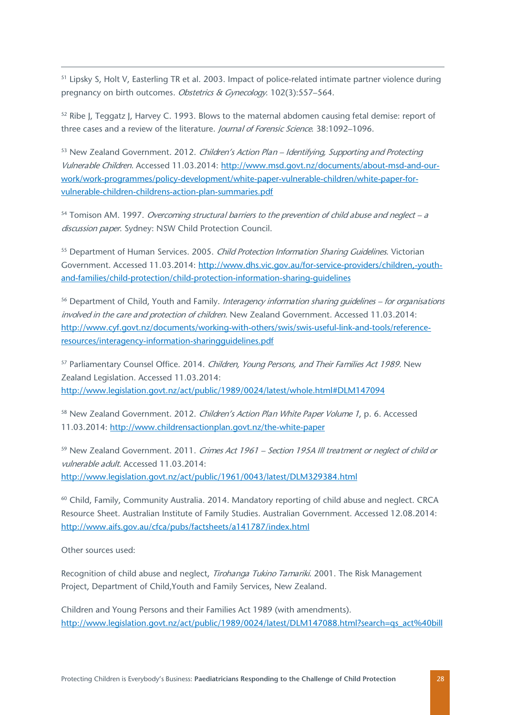<sup>51</sup> Lipsky S, Holt V, Easterling TR et al. 2003. Impact of police-related intimate partner violence during pregnancy on birth outcomes. Obstetrics & Gynecology. 102(3):557–564.

<sup>52</sup> Ribe I. Teggatz I. Harvey C. 1993. Blows to the maternal abdomen causing fetal demise: report of three cases and a review of the literature. *Journal of Forensic Science*. 38:1092–1096.

<sup>53</sup> New Zealand Government. 2012. Children's Action Plan – Identifying, Supporting and Protecting Vulnerable Children. Accessed 11.03.2014: [http://www.msd.govt.nz/documents/about-msd-and-our](http://www.msd.govt.nz/documents/about-msd-and-our-work/work-programmes/policy-development/white-paper-vulnerable-children/white-paper-for-vulnerable-children-childrens-action-plan-summaries.pdf)[work/work-programmes/policy-development/white-paper-vulnerable-children/white-paper-for](http://www.msd.govt.nz/documents/about-msd-and-our-work/work-programmes/policy-development/white-paper-vulnerable-children/white-paper-for-vulnerable-children-childrens-action-plan-summaries.pdf)[vulnerable-children-childrens-action-plan-summaries.pdf](http://www.msd.govt.nz/documents/about-msd-and-our-work/work-programmes/policy-development/white-paper-vulnerable-children/white-paper-for-vulnerable-children-childrens-action-plan-summaries.pdf)

 $54$  Tomison AM. 1997. Overcoming structural barriers to the prevention of child abuse and neglect – a discussion paper. Sydney: NSW Child Protection Council.

<sup>55</sup> Department of Human Services. 2005. Child Protection Information Sharing Guidelines. Victorian Government. Accessed 11.03.2014: [http://www.dhs.vic.gov.au/for-service-providers/children,-youth](http://www.dhs.vic.gov.au/for-service-providers/children,-youth-and-families/child-protection/child-protection-information-sharing-guidelines)[and-families/child-protection/child-protection-information-sharing-guidelines](http://www.dhs.vic.gov.au/for-service-providers/children,-youth-and-families/child-protection/child-protection-information-sharing-guidelines)

<span id="page-28-1"></span><span id="page-28-0"></span><sup>56</sup> Department of Child, Youth and Family. Interagency information sharing guidelines – for organisations involved in the care and protection of children. New Zealand Government. Accessed 11.03.2014: [http://www.cyf.govt.nz/documents/working-with-others/swis/swis-useful-link-and-tools/reference](http://www.cyf.govt.nz/documents/working-with-others/swis/swis-useful-link-and-tools/reference-resources/interagency-information-sharingguidelines.pdf)[resources/interagency-information-sharingguidelines.pdf](http://www.cyf.govt.nz/documents/working-with-others/swis/swis-useful-link-and-tools/reference-resources/interagency-information-sharingguidelines.pdf)

<span id="page-28-2"></span><sup>57</sup> Parliamentary Counsel Office. 2014. Children, Young Persons, and Their Families Act 1989. New Zealand Legislation. Accessed 11.03.2014: [http://www.legislation.govt.nz/act/public/1989/0024/latest/whole.html#DLM147094](http://www.legislation.govt.nz/act/public/1989/0024/latest/whole.html%23DLM147094)

<span id="page-28-3"></span><sup>58</sup> New Zealand Government. 2012. Children's Action Plan White Paper Volume 1, p. 6. Accessed 11.03.2014:<http://www.childrensactionplan.govt.nz/the-white-paper>

<span id="page-28-4"></span><sup>59</sup> New Zealand Government. 2011. Crimes Act 1961 – Section 195A III treatment or neglect of child or vulnerable adult. Accessed 11.03.2014: <http://www.legislation.govt.nz/act/public/1961/0043/latest/DLM329384.html>

<span id="page-28-6"></span><span id="page-28-5"></span><sup>60</sup> Child, Family, Community Australia. 2014. Mandatory reporting of child abuse and neglect. CRCA Resource Sheet. Australian Institute of Family Studies. Australian Government. Accessed 12.08.2014: <http://www.aifs.gov.au/cfca/pubs/factsheets/a141787/index.html>

<span id="page-28-7"></span>Other sources used:

 $\overline{a}$ 

<span id="page-28-8"></span>Recognition of child abuse and neglect, Tirohanga Tukino Tamariki. 2001. The Risk Management Project, Department of Child,Youth and Family Services, New Zealand.

Children and Young Persons and their Families Act 1989 (with amendments). [http://www.legislation.govt.nz/act/public/1989/0024/latest/DLM147088.html?search=qs\\_act%40bill](http://www.legislation.govt.nz/act/public/1989/0024/latest/DLM147088.html?search=qs_act%40bill%40regulation%40deemedreg_Children+and+Young+Persons+Amendment+Act_resel_25_h&p=1&sr=1)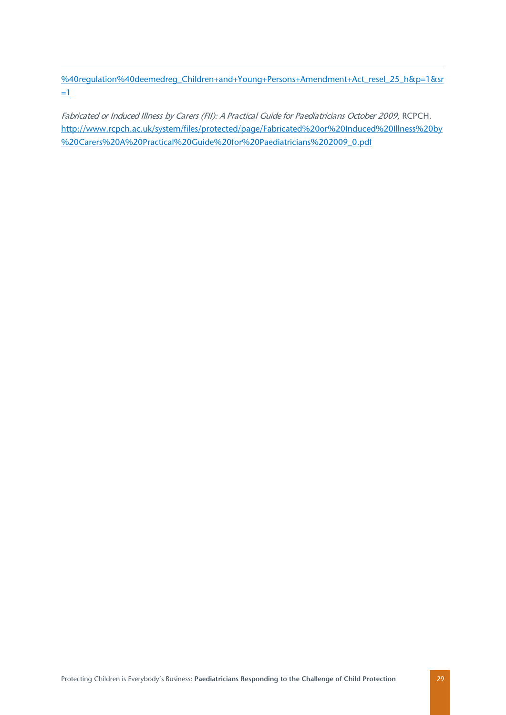<span id="page-29-0"></span>%40requlation%40deemedreg\_Children+and+Young+Persons+Amendment+Act\_resel\_25\_h&p=1&sr  $=1$ 

 $\overline{a}$ 

<span id="page-29-25"></span><span id="page-29-24"></span><span id="page-29-23"></span><span id="page-29-22"></span><span id="page-29-21"></span><span id="page-29-20"></span><span id="page-29-19"></span><span id="page-29-18"></span><span id="page-29-17"></span><span id="page-29-16"></span><span id="page-29-15"></span><span id="page-29-14"></span><span id="page-29-13"></span><span id="page-29-12"></span><span id="page-29-11"></span><span id="page-29-10"></span><span id="page-29-9"></span><span id="page-29-8"></span><span id="page-29-7"></span><span id="page-29-6"></span><span id="page-29-5"></span><span id="page-29-4"></span><span id="page-29-3"></span><span id="page-29-2"></span><span id="page-29-1"></span>Fabricated or Induced Illness by Carers (FII): A Practical Guide for Paediatricians October 2009, RCPCH. [http://www.rcpch.ac.uk/system/files/protected/page/Fabricated%20or%20Induced%20Illness%20by](http://www.rcpch.ac.uk/system/files/protected/page/Fabricated%20or%20Induced%20Illness%20by%20Carers%20A%20Practical%20Guide%20for%20Paediatricians%202009_0.pdf) [%20Carers%20A%20Practical%20Guide%20for%20Paediatricians%202009\\_0.pdf](http://www.rcpch.ac.uk/system/files/protected/page/Fabricated%20or%20Induced%20Illness%20by%20Carers%20A%20Practical%20Guide%20for%20Paediatricians%202009_0.pdf)